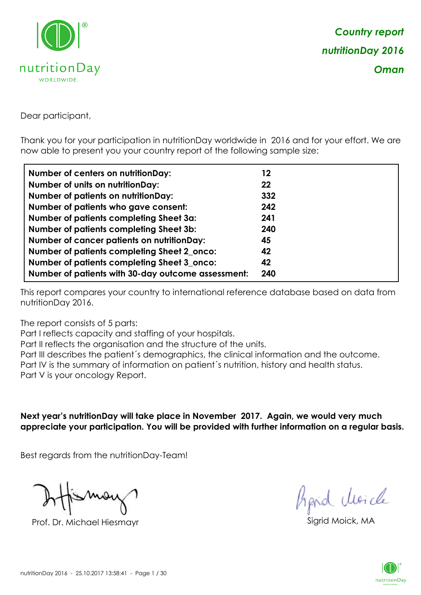

Dear participant,

Thank you for your participation in nutritionDay worldwide in 2016 and for your effort. We are now able to present you your country report of the following sample size:

| Number of centers on nutritionDay:                 | 12  |
|----------------------------------------------------|-----|
| <b>Number of units on nutrition Day:</b>           | 22  |
| <b>Number of patients on nutritionDay:</b>         | 332 |
| Number of patients who gave consent:               | 242 |
| Number of patients completing Sheet 3a:            | 241 |
| <b>Number of patients completing Sheet 3b:</b>     | 240 |
| <b>Number of cancer patients on nutritionDay:</b>  | 45  |
| Number of patients completing Sheet 2_onco:        | 42  |
| Number of patients completing Sheet 3_onco:        | 42  |
| Number of patients with 30-day outcome assessment: | 240 |

This report compares your country to international reference database based on data from nutritionDay 2016.

The report consists of 5 parts:

Part I reflects capacity and staffing of your hospitals.

Part II reflects the organisation and the structure of the units.

Part III describes the patient´s demographics, the clinical information and the outcome.

Part IV is the summary of information on patient´s nutrition, history and health status.

Part V is your oncology Report.

**Next year's nutritionDay will take place in November 2017. Again, we would very much appreciate your participation. You will be provided with further information on a regular basis.**

Best regards from the nutritionDay-Team!

Prof. Dr. Michael Hiesmayr Sigrid Moick, MA

*Prpid cluricle* 

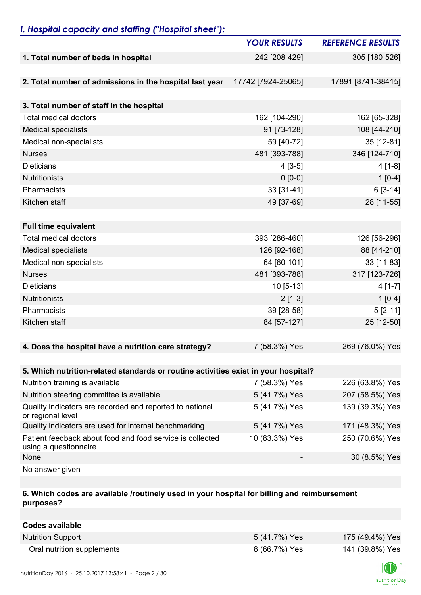### *I. Hospital capacity and staffing ("Hospital sheet"):*

|                                                                                    | <b>YOUR RESULTS</b> | <b>REFERENCE RESULTS</b> |
|------------------------------------------------------------------------------------|---------------------|--------------------------|
| 1. Total number of beds in hospital                                                | 242 [208-429]       | 305 [180-526]            |
|                                                                                    |                     |                          |
| 2. Total number of admissions in the hospital last year                            | 17742 [7924-25065]  | 17891 [8741-38415]       |
|                                                                                    |                     |                          |
| 3. Total number of staff in the hospital                                           |                     |                          |
| <b>Total medical doctors</b>                                                       | 162 [104-290]       | 162 [65-328]             |
| <b>Medical specialists</b>                                                         | 91 [73-128]         | 108 [44-210]             |
| Medical non-specialists                                                            | 59 [40-72]          | 35 [12-81]               |
| <b>Nurses</b>                                                                      | 481 [393-788]       | 346 [124-710]            |
| <b>Dieticians</b>                                                                  | $4[3-5]$            | $4[1-8]$                 |
| <b>Nutritionists</b>                                                               | $0 [0-0]$           | $1[0-4]$                 |
| Pharmacists                                                                        | 33 [31-41]          | $6[3-14]$                |
| Kitchen staff                                                                      | 49 [37-69]          | 28 [11-55]               |
|                                                                                    |                     |                          |
| <b>Full time equivalent</b>                                                        |                     |                          |
| <b>Total medical doctors</b>                                                       | 393 [286-460]       | 126 [56-296]             |
| <b>Medical specialists</b>                                                         | 126 [92-168]        | 88 [44-210]              |
| Medical non-specialists                                                            | 64 [60-101]         | 33 [11-83]               |
| <b>Nurses</b>                                                                      | 481 [393-788]       | 317 [123-726]            |
| <b>Dieticians</b>                                                                  | $10$ [5-13]         | $4[1-7]$                 |
| <b>Nutritionists</b>                                                               | $2[1-3]$            | $1[0-4]$                 |
| Pharmacists                                                                        | 39 [28-58]          | $5[2-11]$                |
| Kitchen staff                                                                      | 84 [57-127]         | 25 [12-50]               |
|                                                                                    |                     |                          |
| 4. Does the hospital have a nutrition care strategy?                               | 7 (58.3%) Yes       | 269 (76.0%) Yes          |
|                                                                                    |                     |                          |
| 5. Which nutrition-related standards or routine activities exist in your hospital? |                     |                          |
| Nutrition training is available                                                    | 7 (58.3%) Yes       | 226 (63.8%) Yes          |
| Nutrition steering committee is available                                          | 5 (41.7%) Yes       | 207 (58.5%) Yes          |
| Quality indicators are recorded and reported to national<br>or regional level      | 5 (41.7%) Yes       | 139 (39.3%) Yes          |
| Quality indicators are used for internal benchmarking                              | 5 (41.7%) Yes       | 171 (48.3%) Yes          |
| Patient feedback about food and food service is collected<br>using a questionnaire | 10 (83.3%) Yes      | 250 (70.6%) Yes          |
| None                                                                               |                     | 30 (8.5%) Yes            |
| No answer given                                                                    |                     |                          |

#### **6. Which codes are available /routinely used in your hospital for billing and reimbursement purposes?**

| Codes available            |               |                 |
|----------------------------|---------------|-----------------|
| <b>Nutrition Support</b>   | 5 (41.7%) Yes | 175 (49.4%) Yes |
| Oral nutrition supplements | 8 (66.7%) Yes | 141 (39.8%) Yes |

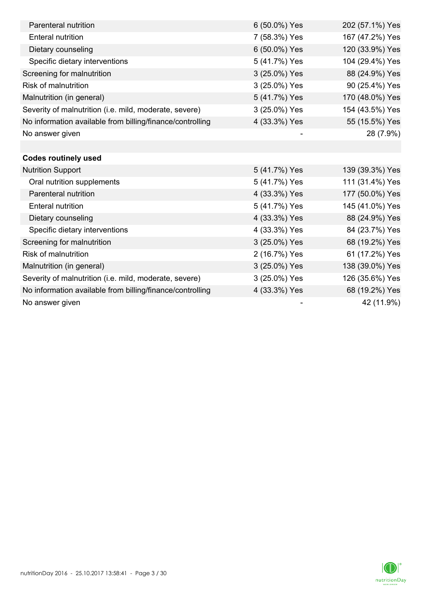| Parenteral nutrition                                      | 6 (50.0%) Yes | 202 (57.1%) Yes |
|-----------------------------------------------------------|---------------|-----------------|
| <b>Enteral nutrition</b>                                  | 7 (58.3%) Yes | 167 (47.2%) Yes |
| Dietary counseling                                        | 6 (50.0%) Yes | 120 (33.9%) Yes |
| Specific dietary interventions                            | 5 (41.7%) Yes | 104 (29.4%) Yes |
| Screening for malnutrition                                | 3 (25.0%) Yes | 88 (24.9%) Yes  |
| <b>Risk of malnutrition</b>                               | 3 (25.0%) Yes | 90 (25.4%) Yes  |
| Malnutrition (in general)                                 | 5 (41.7%) Yes | 170 (48.0%) Yes |
| Severity of malnutrition (i.e. mild, moderate, severe)    | 3 (25.0%) Yes | 154 (43.5%) Yes |
| No information available from billing/finance/controlling | 4 (33.3%) Yes | 55 (15.5%) Yes  |
| No answer given                                           |               | 28 (7.9%)       |
|                                                           |               |                 |
| <b>Codes routinely used</b>                               |               |                 |
| <b>Nutrition Support</b>                                  | 5 (41.7%) Yes | 139 (39.3%) Yes |
| Oral nutrition supplements                                | 5 (41.7%) Yes | 111 (31.4%) Yes |
| Parenteral nutrition                                      | 4 (33.3%) Yes | 177 (50.0%) Yes |
| <b>Enteral nutrition</b>                                  | 5 (41.7%) Yes | 145 (41.0%) Yes |
| Dietary counseling                                        | 4 (33.3%) Yes | 88 (24.9%) Yes  |
| Specific dietary interventions                            | 4 (33.3%) Yes | 84 (23.7%) Yes  |
| Screening for malnutrition                                | 3 (25.0%) Yes | 68 (19.2%) Yes  |
| <b>Risk of malnutrition</b>                               | 2 (16.7%) Yes | 61 (17.2%) Yes  |
| Malnutrition (in general)                                 | 3 (25.0%) Yes | 138 (39.0%) Yes |
| Severity of malnutrition (i.e. mild, moderate, severe)    | 3 (25.0%) Yes | 126 (35.6%) Yes |
| No information available from billing/finance/controlling | 4 (33.3%) Yes | 68 (19.2%) Yes  |
| No answer given                                           |               | 42 (11.9%)      |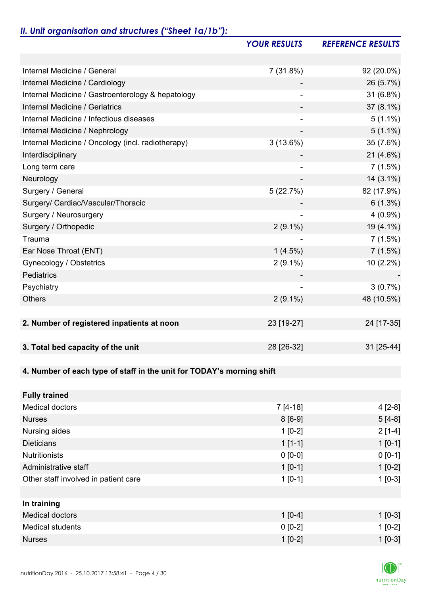# *II. Unit organisation and structures ("Sheet 1a/1b"):*

|                                                                       | <b>YOUR RESULTS</b> | <b>REFERENCE RESULTS</b> |
|-----------------------------------------------------------------------|---------------------|--------------------------|
|                                                                       |                     |                          |
| Internal Medicine / General                                           | 7(31.8%)            | 92 (20.0%)               |
| Internal Medicine / Cardiology                                        |                     | 26 (5.7%)                |
| Internal Medicine / Gastroenterology & hepatology                     |                     | 31 (6.8%)                |
| Internal Medicine / Geriatrics                                        |                     | $37(8.1\%)$              |
| Internal Medicine / Infectious diseases                               |                     | $5(1.1\%)$               |
| Internal Medicine / Nephrology                                        |                     | $5(1.1\%)$               |
| Internal Medicine / Oncology (incl. radiotherapy)                     | 3(13.6%)            | 35 (7.6%)                |
| Interdisciplinary                                                     |                     | 21 (4.6%)                |
| Long term care                                                        |                     | 7(1.5%)                  |
| Neurology                                                             |                     | $14(3.1\%)$              |
| Surgery / General                                                     | 5(22.7%)            | 82 (17.9%)               |
| Surgery/ Cardiac/Vascular/Thoracic                                    |                     | $6(1.3\%)$               |
| Surgery / Neurosurgery                                                |                     | $4(0.9\%)$               |
| Surgery / Orthopedic                                                  | $2(9.1\%)$          | 19 (4.1%)                |
| Trauma                                                                |                     | 7(1.5%)                  |
| Ear Nose Throat (ENT)                                                 | $1(4.5\%)$          | 7(1.5%)                  |
| Gynecology / Obstetrics                                               | $2(9.1\%)$          | 10 (2.2%)                |
| Pediatrics                                                            |                     |                          |
| Psychiatry                                                            |                     | 3(0.7%)                  |
| <b>Others</b>                                                         | $2(9.1\%)$          | 48 (10.5%)               |
|                                                                       |                     |                          |
| 2. Number of registered inpatients at noon                            | 23 [19-27]          | 24 [17-35]               |
|                                                                       |                     |                          |
| 3. Total bed capacity of the unit                                     | 28 [26-32]          | 31 [25-44]               |
|                                                                       |                     |                          |
| 4. Number of each type of staff in the unit for TODAY's morning shift |                     |                          |
|                                                                       |                     |                          |
| <b>Fully trained</b>                                                  |                     |                          |
| <b>Medical doctors</b>                                                | $7[4-18]$           | $4[2-8]$                 |
| <b>Nurses</b>                                                         | $8[6-9]$            | $5[4-8]$                 |
| Nursing aides                                                         | $1[0-2]$            | $2[1-4]$                 |
| <b>Dieticians</b>                                                     | $1[1-1]$            | $1 [0-1]$                |
| <b>Nutritionists</b>                                                  | $0 [0-0]$           | $0 [0-1]$                |
| Administrative staff                                                  | $1[0-1]$            | $1[0-2]$                 |
| Other staff involved in patient care                                  | $1[0-1]$            | $1[0-3]$                 |
|                                                                       |                     |                          |
| In training                                                           |                     |                          |
| <b>Medical doctors</b>                                                | $1[0-4]$            | $1$ [0-3]                |
| <b>Medical students</b>                                               | $0 [0-2]$           | $1[0-2]$                 |
| <b>Nurses</b>                                                         | $1[0-2]$            | $1[0-3]$                 |

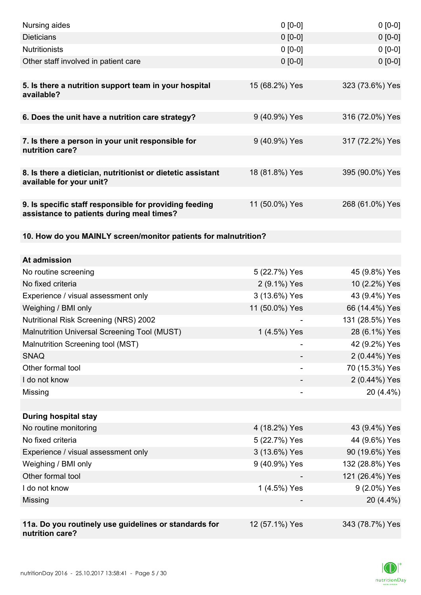| Nursing aides                                                                                       | $0 [0-0]$      | $0[0-0]$        |
|-----------------------------------------------------------------------------------------------------|----------------|-----------------|
| <b>Dieticians</b>                                                                                   | $0 [0-0]$      | $0 [0-0]$       |
| Nutritionists                                                                                       | $0 [0-0]$      | $0[0-0]$        |
| Other staff involved in patient care                                                                | $0 [0-0]$      | $0 [0-0]$       |
|                                                                                                     |                |                 |
| 5. Is there a nutrition support team in your hospital<br>available?                                 | 15 (68.2%) Yes | 323 (73.6%) Yes |
| 6. Does the unit have a nutrition care strategy?                                                    | 9 (40.9%) Yes  | 316 (72.0%) Yes |
| 7. Is there a person in your unit responsible for<br>nutrition care?                                | 9 (40.9%) Yes  | 317 (72.2%) Yes |
| 8. Is there a dietician, nutritionist or dietetic assistant                                         | 18 (81.8%) Yes | 395 (90.0%) Yes |
| available for your unit?                                                                            |                |                 |
| 9. Is specific staff responsible for providing feeding<br>assistance to patients during meal times? | 11 (50.0%) Yes | 268 (61.0%) Yes |
| 10. How do you MAINLY screen/monitor patients for malnutrition?                                     |                |                 |
|                                                                                                     |                |                 |
| At admission                                                                                        |                |                 |
| No routine screening                                                                                | 5 (22.7%) Yes  | 45 (9.8%) Yes   |
| No fixed criteria                                                                                   | 2 (9.1%) Yes   | 10 (2.2%) Yes   |
| Experience / visual assessment only                                                                 | 3 (13.6%) Yes  | 43 (9.4%) Yes   |
| Weighing / BMI only                                                                                 | 11 (50.0%) Yes | 66 (14.4%) Yes  |
| <b>Nutritional Risk Screening (NRS) 2002</b>                                                        |                | 131 (28.5%) Yes |
| Malnutrition Universal Screening Tool (MUST)                                                        | 1 (4.5%) Yes   | 28 (6.1%) Yes   |
| Malnutrition Screening tool (MST)                                                                   | -              | 42 (9.2%) Yes   |
| <b>SNAQ</b>                                                                                         |                | 2 (0.44%) Yes   |
| Other formal tool                                                                                   |                | 70 (15.3%) Yes  |
| I do not know                                                                                       |                | 2 (0.44%) Yes   |
| Missing                                                                                             |                | $20(4.4\%)$     |
|                                                                                                     |                |                 |
| <b>During hospital stay</b>                                                                         |                |                 |
| No routine monitoring                                                                               | 4 (18.2%) Yes  | 43 (9.4%) Yes   |
| No fixed criteria                                                                                   | 5 (22.7%) Yes  | 44 (9.6%) Yes   |
| Experience / visual assessment only                                                                 | 3 (13.6%) Yes  | 90 (19.6%) Yes  |
| Weighing / BMI only                                                                                 | 9 (40.9%) Yes  | 132 (28.8%) Yes |
| Other formal tool                                                                                   |                | 121 (26.4%) Yes |
| I do not know                                                                                       | 1 (4.5%) Yes   | 9 (2.0%) Yes    |
| Missing                                                                                             |                | 20 (4.4%)       |
|                                                                                                     |                |                 |
| 11a. Do you routinely use guidelines or standards for<br>nutrition care?                            | 12 (57.1%) Yes | 343 (78.7%) Yes |

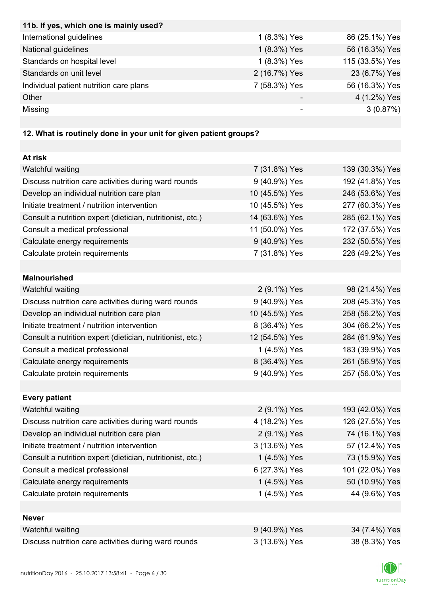| 11b. If yes, which one is mainly used?  |               |                 |
|-----------------------------------------|---------------|-----------------|
| International guidelines                | 1 (8.3%) Yes  | 86 (25.1%) Yes  |
| National guidelines                     | 1 (8.3%) Yes  | 56 (16.3%) Yes  |
| Standards on hospital level             | 1 (8.3%) Yes  | 115 (33.5%) Yes |
| Standards on unit level                 | 2 (16.7%) Yes | 23 (6.7%) Yes   |
| Individual patient nutrition care plans | 7 (58.3%) Yes | 56 (16.3%) Yes  |
| Other                                   |               | 4 (1.2%) Yes    |
| Missing                                 |               | 3(0.87%)        |

# **12. What is routinely done in your unit for given patient groups?**

| 7 (31.8%) Yes  | 139 (30.3%) Yes |
|----------------|-----------------|
| 9 (40.9%) Yes  | 192 (41.8%) Yes |
| 10 (45.5%) Yes | 246 (53.6%) Yes |
| 10 (45.5%) Yes | 277 (60.3%) Yes |
| 14 (63.6%) Yes | 285 (62.1%) Yes |
| 11 (50.0%) Yes | 172 (37.5%) Yes |
| 9 (40.9%) Yes  | 232 (50.5%) Yes |
| 7 (31.8%) Yes  | 226 (49.2%) Yes |
|                |                 |
|                |                 |
| 2 (9.1%) Yes   | 98 (21.4%) Yes  |
| 9 (40.9%) Yes  | 208 (45.3%) Yes |
| 10 (45.5%) Yes | 258 (56.2%) Yes |
| 8 (36.4%) Yes  | 304 (66.2%) Yes |
| 12 (54.5%) Yes | 284 (61.9%) Yes |
| 1 (4.5%) Yes   | 183 (39.9%) Yes |
| 8 (36.4%) Yes  | 261 (56.9%) Yes |
| 9 (40.9%) Yes  | 257 (56.0%) Yes |
|                |                 |
|                |                 |
| 2 (9.1%) Yes   | 193 (42.0%) Yes |
| 4 (18.2%) Yes  | 126 (27.5%) Yes |
| 2 (9.1%) Yes   | 74 (16.1%) Yes  |
| 3 (13.6%) Yes  | 57 (12.4%) Yes  |
| 1 (4.5%) Yes   | 73 (15.9%) Yes  |
| 6 (27.3%) Yes  | 101 (22.0%) Yes |
| 1 (4.5%) Yes   | 50 (10.9%) Yes  |
| 1 (4.5%) Yes   | 44 (9.6%) Yes   |
|                |                 |
|                |                 |
| 9 (40.9%) Yes  | 34 (7.4%) Yes   |
| 3 (13.6%) Yes  | 38 (8.3%) Yes   |
|                |                 |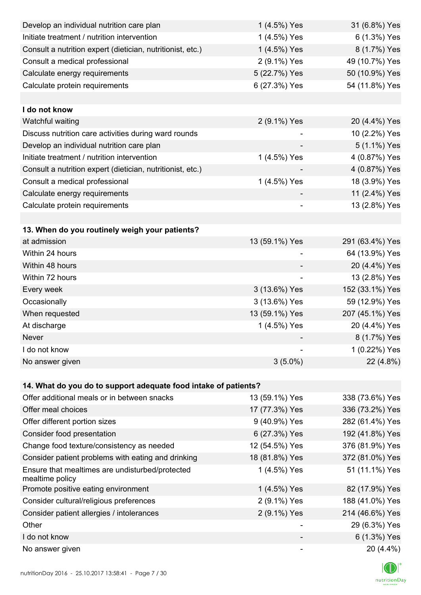| Develop an individual nutrition care plan                          | 1 (4.5%) Yes   | 31 (6.8%) Yes   |
|--------------------------------------------------------------------|----------------|-----------------|
| Initiate treatment / nutrition intervention                        | 1 (4.5%) Yes   | 6 (1.3%) Yes    |
| Consult a nutrition expert (dietician, nutritionist, etc.)         | 1 (4.5%) Yes   | 8 (1.7%) Yes    |
| Consult a medical professional                                     | 2 (9.1%) Yes   | 49 (10.7%) Yes  |
| Calculate energy requirements                                      | 5 (22.7%) Yes  | 50 (10.9%) Yes  |
| Calculate protein requirements                                     | 6 (27.3%) Yes  | 54 (11.8%) Yes  |
|                                                                    |                |                 |
| I do not know                                                      |                |                 |
| Watchful waiting                                                   | 2 (9.1%) Yes   | 20 (4.4%) Yes   |
| Discuss nutrition care activities during ward rounds               |                | 10 (2.2%) Yes   |
| Develop an individual nutrition care plan                          |                | 5 (1.1%) Yes    |
| Initiate treatment / nutrition intervention                        | 1 (4.5%) Yes   | 4 (0.87%) Yes   |
| Consult a nutrition expert (dietician, nutritionist, etc.)         |                | 4 (0.87%) Yes   |
| Consult a medical professional                                     | 1 (4.5%) Yes   | 18 (3.9%) Yes   |
| Calculate energy requirements                                      |                | 11 (2.4%) Yes   |
| Calculate protein requirements                                     |                | 13 (2.8%) Yes   |
|                                                                    |                |                 |
| 13. When do you routinely weigh your patients?                     |                |                 |
| at admission                                                       | 13 (59.1%) Yes | 291 (63.4%) Yes |
| Within 24 hours                                                    |                | 64 (13.9%) Yes  |
| Within 48 hours                                                    |                | 20 (4.4%) Yes   |
| Within 72 hours                                                    | -              | 13 (2.8%) Yes   |
| Every week                                                         | 3 (13.6%) Yes  | 152 (33.1%) Yes |
| Occasionally                                                       | 3 (13.6%) Yes  | 59 (12.9%) Yes  |
| When requested                                                     | 13 (59.1%) Yes | 207 (45.1%) Yes |
| At discharge                                                       | 1 (4.5%) Yes   | 20 (4.4%) Yes   |
| Never                                                              |                | 8 (1.7%) Yes    |
| I do not know                                                      |                | 1 (0.22%) Yes   |
| No answer given                                                    | $3(5.0\%)$     | 22 (4.8%)       |
|                                                                    |                |                 |
| 14. What do you do to support adequate food intake of patients?    |                |                 |
| Offer additional meals or in between snacks                        | 13 (59.1%) Yes | 338 (73.6%) Yes |
| Offer meal choices                                                 | 17 (77.3%) Yes | 336 (73.2%) Yes |
| Offer different portion sizes                                      | 9 (40.9%) Yes  | 282 (61.4%) Yes |
| Consider food presentation                                         | 6 (27.3%) Yes  | 192 (41.8%) Yes |
| Change food texture/consistency as needed                          | 12 (54.5%) Yes | 376 (81.9%) Yes |
| Consider patient problems with eating and drinking                 | 18 (81.8%) Yes | 372 (81.0%) Yes |
| Ensure that mealtimes are undisturbed/protected<br>mealtime policy | 1 (4.5%) Yes   | 51 (11.1%) Yes  |
| Promote positive eating environment                                | 1 (4.5%) Yes   | 82 (17.9%) Yes  |
| Consider cultural/religious preferences                            | 2 (9.1%) Yes   | 188 (41.0%) Yes |
| Consider patient allergies / intolerances                          | 2 (9.1%) Yes   | 214 (46.6%) Yes |
| Other                                                              |                | 29 (6.3%) Yes   |
| I do not know                                                      |                | 6 (1.3%) Yes    |
| No answer given                                                    |                | 20 (4.4%)       |

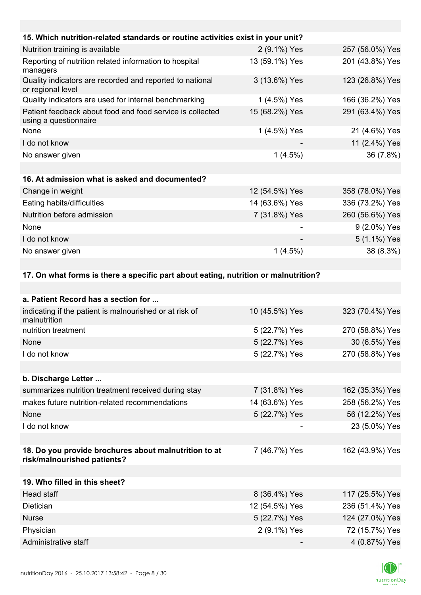| 15. Which nutrition-related standards or routine activities exist in your unit?      |                |                 |
|--------------------------------------------------------------------------------------|----------------|-----------------|
| Nutrition training is available                                                      | 2 (9.1%) Yes   | 257 (56.0%) Yes |
| Reporting of nutrition related information to hospital<br>managers                   | 13 (59.1%) Yes | 201 (43.8%) Yes |
| Quality indicators are recorded and reported to national<br>or regional level        | 3 (13.6%) Yes  | 123 (26.8%) Yes |
| Quality indicators are used for internal benchmarking                                | 1 (4.5%) Yes   | 166 (36.2%) Yes |
| Patient feedback about food and food service is collected<br>using a questionnaire   | 15 (68.2%) Yes | 291 (63.4%) Yes |
| None                                                                                 | 1 (4.5%) Yes   | 21 (4.6%) Yes   |
| I do not know                                                                        |                | 11 (2.4%) Yes   |
| No answer given                                                                      | $1(4.5\%)$     | 36 (7.8%)       |
|                                                                                      |                |                 |
| 16. At admission what is asked and documented?                                       |                |                 |
| Change in weight                                                                     | 12 (54.5%) Yes | 358 (78.0%) Yes |
| Eating habits/difficulties                                                           | 14 (63.6%) Yes | 336 (73.2%) Yes |
| Nutrition before admission                                                           | 7 (31.8%) Yes  | 260 (56.6%) Yes |
| None                                                                                 |                | 9 (2.0%) Yes    |
| I do not know                                                                        |                | 5 (1.1%) Yes    |
| No answer given                                                                      | $1(4.5\%)$     | 38 (8.3%)       |
|                                                                                      |                |                 |
| 17. On what forms is there a specific part about eating, nutrition or malnutrition?  |                |                 |
|                                                                                      |                |                 |
| a. Patient Record has a section for                                                  |                |                 |
| indicating if the patient is malnourished or at risk of<br>malnutrition              | 10 (45.5%) Yes | 323 (70.4%) Yes |
| nutrition treatment                                                                  | 5 (22.7%) Yes  | 270 (58.8%) Yes |
| None                                                                                 | 5 (22.7%) Yes  | 30 (6.5%) Yes   |
| I do not know                                                                        | 5 (22.7%) Yes  | 270 (58.8%) Yes |
|                                                                                      |                |                 |
| b. Discharge Letter                                                                  |                |                 |
| summarizes nutrition treatment received during stay                                  | 7 (31.8%) Yes  | 162 (35.3%) Yes |
| makes future nutrition-related recommendations                                       | 14 (63.6%) Yes | 258 (56.2%) Yes |
| None                                                                                 | 5 (22.7%) Yes  | 56 (12.2%) Yes  |
| I do not know                                                                        |                | 23 (5.0%) Yes   |
|                                                                                      |                |                 |
| 18. Do you provide brochures about malnutrition to at<br>risk/malnourished patients? | 7 (46.7%) Yes  | 162 (43.9%) Yes |
| 19. Who filled in this sheet?                                                        |                |                 |

| Head staff           | 8 (36.4%) Yes  | 117 (25.5%) Yes |
|----------------------|----------------|-----------------|
| Dietician            | 12 (54.5%) Yes | 236 (51.4%) Yes |
| <b>Nurse</b>         | 5 (22.7%) Yes  | 124 (27.0%) Yes |
| Physician            | 2 (9.1%) Yes   | 72 (15.7%) Yes  |
| Administrative staff |                | 4 (0.87%) Yes   |

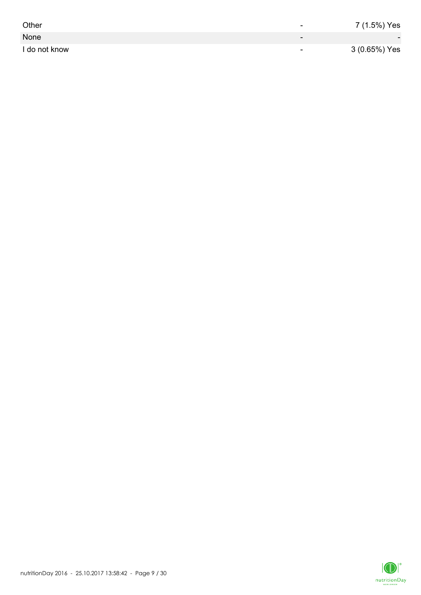| Other         | -                        | 7 (1.5%) Yes             |
|---------------|--------------------------|--------------------------|
| None          | $\overline{\phantom{0}}$ | $\overline{\phantom{0}}$ |
| I do not know | $\overline{\phantom{0}}$ | 3 (0.65%) Yes            |

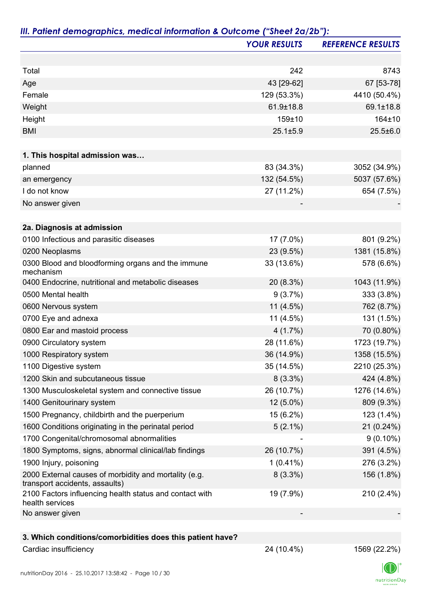|                                                                                         | <b>YOUR RESULTS</b> | <b>REFERENCE RESULTS</b> |
|-----------------------------------------------------------------------------------------|---------------------|--------------------------|
|                                                                                         |                     |                          |
| Total                                                                                   | 242                 | 8743                     |
| Age                                                                                     | 43 [29-62]          | 67 [53-78]               |
| Female                                                                                  | 129 (53.3%)         | 4410 (50.4%)             |
| Weight                                                                                  | 61.9±18.8           | 69.1±18.8                |
| Height                                                                                  | 159±10              | 164±10                   |
| <b>BMI</b>                                                                              | $25.1 \pm 5.9$      | $25.5 \pm 6.0$           |
|                                                                                         |                     |                          |
| 1. This hospital admission was                                                          |                     |                          |
| planned                                                                                 | 83 (34.3%)          | 3052 (34.9%)             |
| an emergency                                                                            | 132 (54.5%)         | 5037 (57.6%)             |
| I do not know                                                                           | 27 (11.2%)          | 654 (7.5%)               |
| No answer given                                                                         |                     |                          |
|                                                                                         |                     |                          |
| 2a. Diagnosis at admission                                                              |                     |                          |
| 0100 Infectious and parasitic diseases                                                  | 17 (7.0%)           | 801 (9.2%)               |
| 0200 Neoplasms                                                                          | 23 (9.5%)           | 1381 (15.8%)             |
| 0300 Blood and bloodforming organs and the immune<br>mechanism                          | 33 (13.6%)          | 578 (6.6%)               |
| 0400 Endocrine, nutritional and metabolic diseases                                      | 20 (8.3%)           | 1043 (11.9%)             |
| 0500 Mental health                                                                      | 9(3.7%)             | 333 (3.8%)               |
| 0600 Nervous system                                                                     | 11 $(4.5\%)$        | 762 (8.7%)               |
| 0700 Eye and adnexa                                                                     | 11 (4.5%)           | 131 (1.5%)               |
| 0800 Ear and mastoid process                                                            | 4(1.7%)             | 70 (0.80%)               |
| 0900 Circulatory system                                                                 | 28 (11.6%)          | 1723 (19.7%)             |
| 1000 Respiratory system                                                                 | 36 (14.9%)          | 1358 (15.5%)             |
| 1100 Digestive system                                                                   | 35 (14.5%)          | 2210 (25.3%)             |
| 1200 Skin and subcutaneous tissue                                                       | $8(3.3\%)$          | 424 (4.8%)               |
| 1300 Musculoskeletal system and connective tissue                                       | 26 (10.7%)          | 1276 (14.6%)             |
| 1400 Genitourinary system                                                               | 12 (5.0%)           | 809 (9.3%)               |
| 1500 Pregnancy, childbirth and the puerperium                                           | 15 (6.2%)           | 123 (1.4%)               |
| 1600 Conditions originating in the perinatal period                                     | $5(2.1\%)$          | 21 (0.24%)               |
| 1700 Congenital/chromosomal abnormalities                                               |                     | $9(0.10\%)$              |
| 1800 Symptoms, signs, abnormal clinical/lab findings                                    | 26 (10.7%)          | 391 (4.5%)               |
| 1900 Injury, poisoning                                                                  | $1(0.41\%)$         | 276 (3.2%)               |
| 2000 External causes of morbidity and mortality (e.g.<br>transport accidents, assaults) | $8(3.3\%)$          | 156 (1.8%)               |
| 2100 Factors influencing health status and contact with<br>health services              | 19 (7.9%)           | 210 (2.4%)               |
| No answer given                                                                         |                     |                          |
|                                                                                         |                     |                          |
| 3. Which conditions/comorbidities does this patient have?                               |                     |                          |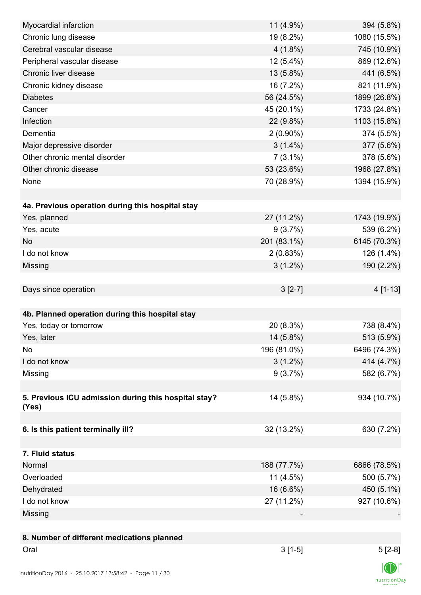| Myocardial infarction                                         | 11 (4.9%)   | 394 (5.8%)   |
|---------------------------------------------------------------|-------------|--------------|
| Chronic lung disease                                          | 19 (8.2%)   | 1080 (15.5%) |
| Cerebral vascular disease                                     | $4(1.8\%)$  | 745 (10.9%)  |
| Peripheral vascular disease                                   | $12(5.4\%)$ | 869 (12.6%)  |
| Chronic liver disease                                         | 13 (5.8%)   | 441 (6.5%)   |
| Chronic kidney disease                                        | 16 (7.2%)   | 821 (11.9%)  |
| <b>Diabetes</b>                                               | 56 (24.5%)  | 1899 (26.8%) |
| Cancer                                                        | 45 (20.1%)  | 1733 (24.8%) |
| Infection                                                     | 22 (9.8%)   | 1103 (15.8%) |
| Dementia                                                      | $2(0.90\%)$ | 374 (5.5%)   |
| Major depressive disorder                                     | $3(1.4\%)$  | 377 (5.6%)   |
| Other chronic mental disorder                                 | $7(3.1\%)$  | 378 (5.6%)   |
| Other chronic disease                                         | 53 (23.6%)  | 1968 (27.8%) |
| None                                                          | 70 (28.9%)  | 1394 (15.9%) |
|                                                               |             |              |
| 4a. Previous operation during this hospital stay              |             |              |
| Yes, planned                                                  | 27 (11.2%)  | 1743 (19.9%) |
| Yes, acute                                                    | 9(3.7%)     | 539 (6.2%)   |
| <b>No</b>                                                     | 201 (83.1%) | 6145 (70.3%) |
| I do not know                                                 | 2(0.83%)    | 126 (1.4%)   |
| Missing                                                       | $3(1.2\%)$  | 190 (2.2%)   |
|                                                               |             |              |
| Days since operation                                          | $3[2-7]$    | 4 [1-13]     |
|                                                               |             |              |
| 4b. Planned operation during this hospital stay               |             |              |
| Yes, today or tomorrow                                        | 20 (8.3%)   | 738 (8.4%)   |
| Yes, later                                                    | 14 (5.8%)   | 513 (5.9%)   |
| No                                                            | 196 (81.0%) | 6496 (74.3%) |
| I do not know                                                 | $3(1.2\%)$  | 414 (4.7%)   |
|                                                               | 9(3.7%)     |              |
| Missing                                                       |             | 582 (6.7%)   |
|                                                               |             |              |
| 5. Previous ICU admission during this hospital stay?<br>(Yes) | 14 (5.8%)   | 934 (10.7%)  |
|                                                               |             |              |
| 6. Is this patient terminally ill?                            | 32 (13.2%)  | 630 (7.2%)   |
|                                                               |             |              |
| 7. Fluid status                                               |             |              |
| Normal                                                        | 188 (77.7%) | 6866 (78.5%) |
| Overloaded                                                    | $11(4.5\%)$ | 500 (5.7%)   |
| Dehydrated                                                    | 16 (6.6%)   | 450 (5.1%)   |
| I do not know                                                 | 27 (11.2%)  | 927 (10.6%)  |
| Missing                                                       |             |              |
|                                                               |             |              |
| 8. Number of different medications planned                    |             |              |
| Oral                                                          | $3[1-5]$    | $5[2-8]$     |
|                                                               |             |              |
|                                                               |             |              |

 $\textsf{nutritionDay}$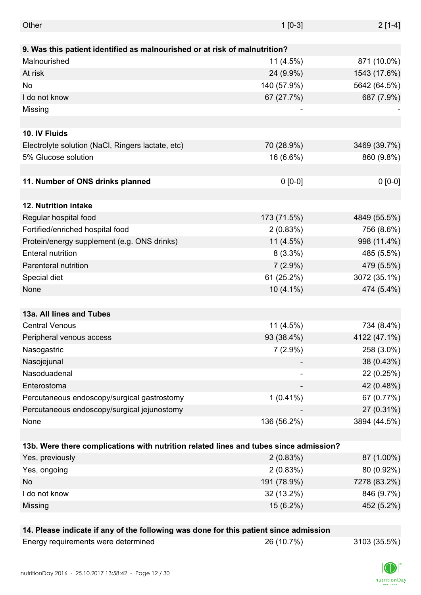| Other                                                                                 | $1[0-3]$    | $2[1-4]$     |
|---------------------------------------------------------------------------------------|-------------|--------------|
|                                                                                       |             |              |
| 9. Was this patient identified as malnourished or at risk of malnutrition?            |             |              |
| Malnourished                                                                          | $11(4.5\%)$ | 871 (10.0%)  |
| At risk                                                                               | 24 (9.9%)   | 1543 (17.6%) |
| No                                                                                    | 140 (57.9%) | 5642 (64.5%) |
| I do not know                                                                         | 67 (27.7%)  | 687 (7.9%)   |
| Missing                                                                               |             |              |
|                                                                                       |             |              |
| 10. IV Fluids                                                                         |             |              |
| Electrolyte solution (NaCl, Ringers lactate, etc)                                     | 70 (28.9%)  | 3469 (39.7%) |
| 5% Glucose solution                                                                   | 16 (6.6%)   | 860 (9.8%)   |
|                                                                                       |             |              |
| 11. Number of ONS drinks planned                                                      | $0 [0-0]$   | $0 [0-0]$    |
|                                                                                       |             |              |
| 12. Nutrition intake                                                                  |             |              |
| Regular hospital food                                                                 | 173 (71.5%) | 4849 (55.5%) |
| Fortified/enriched hospital food                                                      | 2(0.83%)    | 756 (8.6%)   |
| Protein/energy supplement (e.g. ONS drinks)                                           | $11(4.5\%)$ | 998 (11.4%)  |
| <b>Enteral nutrition</b>                                                              | $8(3.3\%)$  | 485 (5.5%)   |
| Parenteral nutrition                                                                  | $7(2.9\%)$  | 479 (5.5%)   |
| Special diet                                                                          | 61 (25.2%)  | 3072 (35.1%) |
| None                                                                                  | $10(4.1\%)$ | 474 (5.4%)   |
|                                                                                       |             |              |
| 13a. All lines and Tubes                                                              |             |              |
| <b>Central Venous</b>                                                                 | 11 (4.5%)   | 734 (8.4%)   |
| Peripheral venous access                                                              | 93 (38.4%)  | 4122 (47.1%) |
| Nasogastric                                                                           | $7(2.9\%)$  | 258 (3.0%)   |
| Nasojejunal                                                                           |             | 38 (0.43%)   |
| Nasoduadenal                                                                          |             | 22 (0.25%)   |
| Enterostoma                                                                           |             | 42 (0.48%)   |
| Percutaneous endoscopy/surgical gastrostomy                                           | $1(0.41\%)$ | 67 (0.77%)   |
| Percutaneous endoscopy/surgical jejunostomy                                           |             | 27 (0.31%)   |
| None                                                                                  | 136 (56.2%) | 3894 (44.5%) |
|                                                                                       |             |              |
| 13b. Were there complications with nutrition related lines and tubes since admission? |             |              |
| Yes, previously                                                                       | 2(0.83%)    | 87 (1.00%)   |
| Yes, ongoing                                                                          | 2(0.83%)    | 80 (0.92%)   |
| No                                                                                    | 191 (78.9%) | 7278 (83.2%) |
| I do not know                                                                         | 32 (13.2%)  | 846 (9.7%)   |
| Missing                                                                               | 15 (6.2%)   | 452 (5.2%)   |
|                                                                                       |             |              |
| 14. Please indicate if any of the following was done for this patient since admission |             |              |
| Energy requirements were determined                                                   | 26 (10.7%)  | 3103 (35.5%) |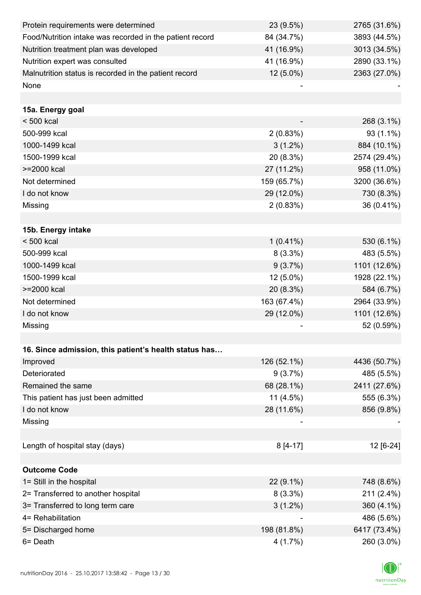| Protein requirements were determined                     | 23 (9.5%)                | 2765 (31.6%) |
|----------------------------------------------------------|--------------------------|--------------|
| Food/Nutrition intake was recorded in the patient record | 84 (34.7%)               | 3893 (44.5%) |
| Nutrition treatment plan was developed                   | 41 (16.9%)               | 3013 (34.5%) |
| Nutrition expert was consulted                           | 41 (16.9%)               | 2890 (33.1%) |
| Malnutrition status is recorded in the patient record    | 12 (5.0%)                | 2363 (27.0%) |
| None                                                     |                          |              |
|                                                          |                          |              |
| 15a. Energy goal                                         |                          |              |
| < 500 kcal                                               |                          | 268 (3.1%)   |
| 500-999 kcal                                             | 2(0.83%)                 | 93 (1.1%)    |
| 1000-1499 kcal                                           | $3(1.2\%)$               | 884 (10.1%)  |
| 1500-1999 kcal                                           | 20 (8.3%)                | 2574 (29.4%) |
| >=2000 kcal                                              | 27 (11.2%)               | 958 (11.0%)  |
| Not determined                                           | 159 (65.7%)              | 3200 (36.6%) |
| I do not know                                            | 29 (12.0%)               | 730 (8.3%)   |
| Missing                                                  | 2(0.83%)                 | 36 (0.41%)   |
|                                                          |                          |              |
| 15b. Energy intake                                       |                          |              |
| $< 500$ kcal                                             | $1(0.41\%)$              | 530 (6.1%)   |
| 500-999 kcal                                             | $8(3.3\%)$               | 483 (5.5%)   |
| 1000-1499 kcal                                           | 9(3.7%)                  | 1101 (12.6%) |
| 1500-1999 kcal                                           | 12 (5.0%)                | 1928 (22.1%) |
| >=2000 kcal                                              | 20 (8.3%)                | 584 (6.7%)   |
| Not determined                                           | 163 (67.4%)              | 2964 (33.9%) |
| I do not know                                            | 29 (12.0%)               | 1101 (12.6%) |
| Missing                                                  |                          | 52 (0.59%)   |
|                                                          |                          |              |
| 16. Since admission, this patient's health status has    |                          |              |
| Improved                                                 | 126 (52.1%)              | 4436 (50.7%) |
| Deteriorated                                             | 9(3.7%)                  | 485 (5.5%)   |
| Remained the same                                        | 68 (28.1%)               | 2411 (27.6%) |
| This patient has just been admitted                      | $11(4.5\%)$              | 555 (6.3%)   |
| I do not know                                            | 28 (11.6%)               | 856 (9.8%)   |
| Missing                                                  |                          |              |
|                                                          |                          |              |
| Length of hospital stay (days)                           | $8[4-17]$                | 12 [6-24]    |
|                                                          |                          |              |
| <b>Outcome Code</b>                                      |                          |              |
| 1= Still in the hospital                                 | 22 (9.1%)                | 748 (8.6%)   |
| 2= Transferred to another hospital                       | $8(3.3\%)$               | 211 (2.4%)   |
| 3= Transferred to long term care                         | $3(1.2\%)$               | 360 (4.1%)   |
| 4= Rehabilitation                                        | $\overline{\phantom{a}}$ | 486 (5.6%)   |
| 5= Discharged home                                       | 198 (81.8%)              | 6417 (73.4%) |
| 6= Death                                                 | 4(1.7%)                  | 260 (3.0%)   |

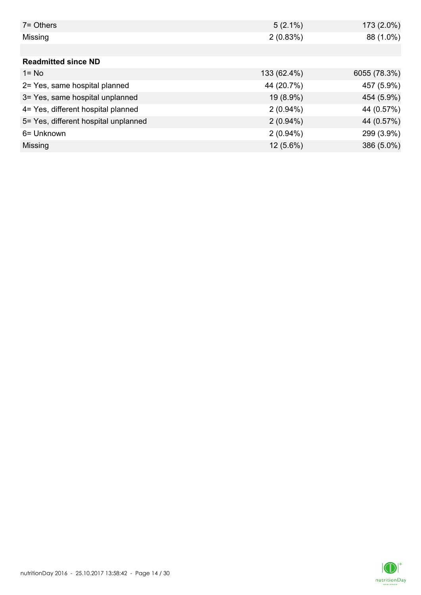| 7 = Others                           | $5(2.1\%)$  | 173 (2.0%)   |
|--------------------------------------|-------------|--------------|
| Missing                              | 2(0.83%)    | 88 (1.0%)    |
|                                      |             |              |
| <b>Readmitted since ND</b>           |             |              |
| $1 = No$                             | 133 (62.4%) | 6055 (78.3%) |
| 2= Yes, same hospital planned        | 44 (20.7%)  | 457 (5.9%)   |
| 3= Yes, same hospital unplanned      | 19 (8.9%)   | 454 (5.9%)   |
| 4= Yes, different hospital planned   | $2(0.94\%)$ | 44 (0.57%)   |
| 5= Yes, different hospital unplanned | $2(0.94\%)$ | 44 (0.57%)   |
| 6= Unknown                           | $2(0.94\%)$ | 299 (3.9%)   |
| Missing                              | $12(5.6\%)$ | 386 (5.0%)   |

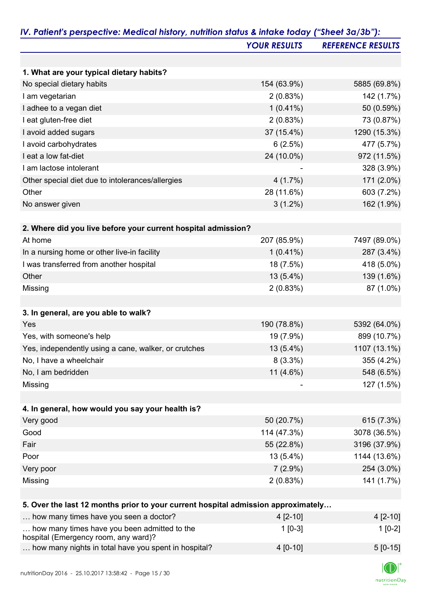|                                                                                      | <b>YOUR RESULTS</b> | <b>REFERENCE RESULTS</b> |
|--------------------------------------------------------------------------------------|---------------------|--------------------------|
|                                                                                      |                     |                          |
| 1. What are your typical dietary habits?                                             |                     |                          |
| No special dietary habits                                                            | 154 (63.9%)         | 5885 (69.8%)             |
| I am vegetarian                                                                      | 2(0.83%)            | 142 (1.7%)               |
| I adhee to a vegan diet                                                              | $1(0.41\%)$         | 50 (0.59%)               |
| I eat gluten-free diet                                                               | 2(0.83%)            | 73 (0.87%)               |
| I avoid added sugars                                                                 | 37 (15.4%)          | 1290 (15.3%)             |
| I avoid carbohydrates                                                                | 6(2.5%)             | 477 (5.7%)               |
| I eat a low fat-diet                                                                 | 24 (10.0%)          | 972 (11.5%)              |
| I am lactose intolerant                                                              |                     | 328 (3.9%)               |
| Other special diet due to intolerances/allergies                                     | 4(1.7%)             | 171 (2.0%)               |
| Other                                                                                | 28 (11.6%)          | 603 (7.2%)               |
| No answer given                                                                      | $3(1.2\%)$          | 162 (1.9%)               |
|                                                                                      |                     |                          |
| 2. Where did you live before your current hospital admission?                        |                     |                          |
| At home                                                                              | 207 (85.9%)         | 7497 (89.0%)             |
| In a nursing home or other live-in facility                                          | $1(0.41\%)$         | 287 (3.4%)               |
| I was transferred from another hospital                                              | 18 (7.5%)           | 418 (5.0%)               |
| Other                                                                                | 13 (5.4%)           | 139 (1.6%)               |
| Missing                                                                              | 2(0.83%)            | 87 (1.0%)                |
|                                                                                      |                     |                          |
| 3. In general, are you able to walk?                                                 |                     |                          |
| Yes                                                                                  | 190 (78.8%)         | 5392 (64.0%)             |
| Yes, with someone's help                                                             | 19 (7.9%)           | 899 (10.7%)              |
| Yes, independently using a cane, walker, or crutches                                 | $13(5.4\%)$         | 1107 (13.1%)             |
| No, I have a wheelchair                                                              | $8(3.3\%)$          | 355 (4.2%)               |
| No, I am bedridden                                                                   | 11 $(4.6\%)$        | 548 (6.5%)               |
| Missing                                                                              |                     | 127 (1.5%)               |
|                                                                                      |                     |                          |
| 4. In general, how would you say your health is?                                     |                     |                          |
| Very good                                                                            | 50 (20.7%)          | 615 (7.3%)               |
| Good                                                                                 | 114 (47.3%)         | 3078 (36.5%)             |
| Fair                                                                                 | 55 (22.8%)          | 3196 (37.9%)             |
| Poor                                                                                 | $13(5.4\%)$         | 1144 (13.6%)             |
| Very poor                                                                            | $7(2.9\%)$          | 254 (3.0%)               |
| Missing                                                                              | 2(0.83%)            | 141 (1.7%)               |
|                                                                                      |                     |                          |
| 5. Over the last 12 months prior to your current hospital admission approximately    |                     |                          |
| how many times have you seen a doctor?                                               | 4 [2-10]            | $4[2-10]$                |
| how many times have you been admitted to the<br>hospital (Emergency room, any ward)? | $1$ [0-3]           | $1[0-2]$                 |
| how many nights in total have you spent in hospital?                                 | 4 [0-10]            | $5[0-15]$                |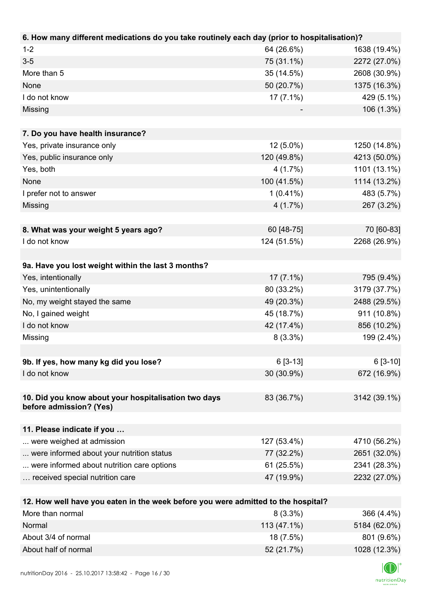| 6. How many different medications do you take routinely each day (prior to hospitalisation)?          |             |                              |
|-------------------------------------------------------------------------------------------------------|-------------|------------------------------|
| $1 - 2$                                                                                               | 64 (26.6%)  | 1638 (19.4%)                 |
| $3-5$                                                                                                 | 75 (31.1%)  | 2272 (27.0%)                 |
| More than 5                                                                                           | 35 (14.5%)  | 2608 (30.9%)                 |
| None                                                                                                  | 50 (20.7%)  | 1375 (16.3%)                 |
| I do not know                                                                                         | $17(7.1\%)$ | 429 (5.1%)                   |
| Missing                                                                                               |             | 106 (1.3%)                   |
|                                                                                                       |             |                              |
| 7. Do you have health insurance?                                                                      |             |                              |
| Yes, private insurance only                                                                           | 12 (5.0%)   | 1250 (14.8%)                 |
| Yes, public insurance only                                                                            | 120 (49.8%) | 4213 (50.0%)                 |
| Yes, both                                                                                             | 4(1.7%)     | 1101 (13.1%)                 |
| None                                                                                                  | 100 (41.5%) | 1114 (13.2%)                 |
| I prefer not to answer                                                                                | $1(0.41\%)$ | 483 (5.7%)                   |
| Missing                                                                                               | 4(1.7%)     | 267 (3.2%)                   |
|                                                                                                       |             |                              |
| 8. What was your weight 5 years ago?                                                                  | 60 [48-75]  | 70 [60-83]                   |
| I do not know                                                                                         | 124 (51.5%) | 2268 (26.9%)                 |
|                                                                                                       |             |                              |
| 9a. Have you lost weight within the last 3 months?                                                    |             |                              |
| Yes, intentionally                                                                                    | $17(7.1\%)$ | 795 (9.4%)                   |
| Yes, unintentionally                                                                                  | 80 (33.2%)  | 3179 (37.7%)                 |
| No, my weight stayed the same                                                                         | 49 (20.3%)  | 2488 (29.5%)                 |
| No, I gained weight                                                                                   | 45 (18.7%)  | 911 (10.8%)                  |
| I do not know                                                                                         | 42 (17.4%)  | 856 (10.2%)                  |
| Missing                                                                                               | $8(3.3\%)$  | 199 (2.4%)                   |
|                                                                                                       |             |                              |
| 9b. If yes, how many kg did you lose?                                                                 | $6[3-13]$   | $6[3-10]$                    |
| I do not know                                                                                         | 30 (30.9%)  | 672 (16.9%)                  |
|                                                                                                       |             |                              |
| 10. Did you know about your hospitalisation two days                                                  | 83 (36.7%)  | 3142 (39.1%)                 |
| before admission? (Yes)                                                                               |             |                              |
|                                                                                                       |             |                              |
| 11. Please indicate if you                                                                            | 127 (53.4%) |                              |
| were weighed at admission<br>were informed about your nutrition status                                | 77 (32.2%)  | 4710 (56.2%)<br>2651 (32.0%) |
| were informed about nutrition care options                                                            | 61 (25.5%)  | 2341 (28.3%)                 |
|                                                                                                       |             |                              |
| received special nutrition care                                                                       | 47 (19.9%)  | 2232 (27.0%)                 |
|                                                                                                       |             |                              |
| 12. How well have you eaten in the week before you were admitted to the hospital?<br>More than normal | $8(3.3\%)$  | 366 (4.4%)                   |
| <b>Normal</b>                                                                                         | 11217101    | $EAOA$ (CO $00/1$            |

| Normal               | 113 (47.1%) | 5184 (62.0%) |
|----------------------|-------------|--------------|
| About 3/4 of normal  | $18(7.5\%)$ | 801 (9.6%)   |
| About half of normal | 52 (21.7%)  | 1028 (12.3%) |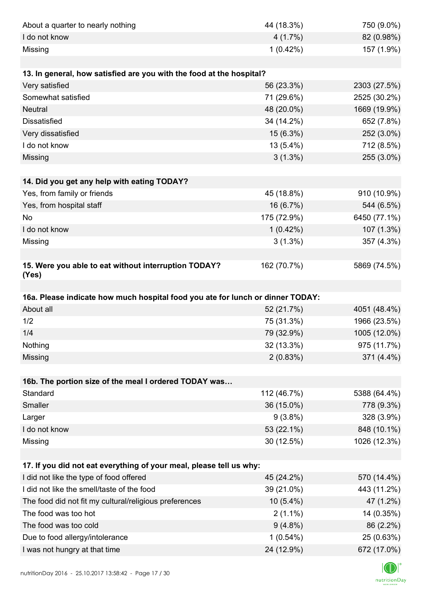| About a quarter to nearly nothing                                              | 44 (18.3%)  | 750 (9.0%)   |
|--------------------------------------------------------------------------------|-------------|--------------|
| I do not know                                                                  | 4(1.7%)     | 82 (0.98%)   |
| Missing                                                                        | 1(0.42%)    | 157 (1.9%)   |
|                                                                                |             |              |
| 13. In general, how satisfied are you with the food at the hospital?           |             |              |
| Very satisfied                                                                 | 56 (23.3%)  | 2303 (27.5%) |
| Somewhat satisfied                                                             | 71 (29.6%)  | 2525 (30.2%) |
| <b>Neutral</b>                                                                 | 48 (20.0%)  | 1669 (19.9%) |
| <b>Dissatisfied</b>                                                            | 34 (14.2%)  | 652 (7.8%)   |
| Very dissatisfied                                                              | 15 (6.3%)   | 252 (3.0%)   |
| I do not know                                                                  | 13 (5.4%)   | 712 (8.5%)   |
| Missing                                                                        | $3(1.3\%)$  | 255 (3.0%)   |
|                                                                                |             |              |
| 14. Did you get any help with eating TODAY?                                    |             |              |
| Yes, from family or friends                                                    | 45 (18.8%)  | 910 (10.9%)  |
| Yes, from hospital staff                                                       | 16 (6.7%)   | 544 (6.5%)   |
| No                                                                             | 175 (72.9%) | 6450 (77.1%) |
| I do not know                                                                  | 1(0.42%)    | 107 (1.3%)   |
| Missing                                                                        | $3(1.3\%)$  | 357 (4.3%)   |
|                                                                                |             |              |
| 15. Were you able to eat without interruption TODAY?<br>(Yes)                  | 162 (70.7%) | 5869 (74.5%) |
|                                                                                |             |              |
|                                                                                |             |              |
| 16a. Please indicate how much hospital food you ate for lunch or dinner TODAY: |             |              |
| About all                                                                      | 52 (21.7%)  | 4051 (48.4%) |
| 1/2                                                                            | 75 (31.3%)  | 1966 (23.5%) |
| 1/4                                                                            | 79 (32.9%)  | 1005 (12.0%) |
| Nothing                                                                        | 32 (13.3%)  | 975 (11.7%)  |
| Missing                                                                        | 2(0.83%)    | 371 (4.4%)   |
|                                                                                |             |              |
| 16b. The portion size of the meal I ordered TODAY was                          |             |              |
| Standard                                                                       | 112 (46.7%) | 5388 (64.4%) |
| Smaller                                                                        | 36 (15.0%)  | 778 (9.3%)   |
| Larger                                                                         | $9(3.8\%)$  | 328 (3.9%)   |
| I do not know                                                                  | 53 (22.1%)  | 848 (10.1%)  |
| Missing                                                                        | 30 (12.5%)  | 1026 (12.3%) |
|                                                                                |             |              |
| 17. If you did not eat everything of your meal, please tell us why:            |             |              |
| I did not like the type of food offered                                        | 45 (24.2%)  | 570 (14.4%)  |
| I did not like the smell/taste of the food                                     | 39 (21.0%)  | 443 (11.2%)  |
| The food did not fit my cultural/religious preferences                         | $10(5.4\%)$ | 47 (1.2%)    |
| The food was too hot                                                           | $2(1.1\%)$  | 14 (0.35%)   |
| The food was too cold                                                          | $9(4.8\%)$  | 86 (2.2%)    |
| Due to food allergy/intolerance<br>I was not hungry at that time               | $1(0.54\%)$ | 25 (0.63%)   |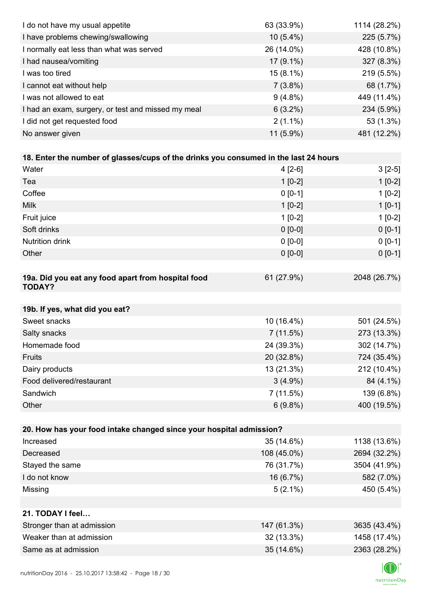| I do not have my usual appetite                                                      | 63 (33.9%)  | 1114 (28.2%) |
|--------------------------------------------------------------------------------------|-------------|--------------|
| I have problems chewing/swallowing                                                   | $10(5.4\%)$ | 225 (5.7%)   |
| I normally eat less than what was served                                             | 26 (14.0%)  | 428 (10.8%)  |
| I had nausea/vomiting                                                                | 17 (9.1%)   | 327 (8.3%)   |
| I was too tired                                                                      | $15(8.1\%)$ | 219 (5.5%)   |
| I cannot eat without help                                                            | $7(3.8\%)$  | 68 (1.7%)    |
| I was not allowed to eat                                                             | $9(4.8\%)$  | 449 (11.4%)  |
| I had an exam, surgery, or test and missed my meal                                   | $6(3.2\%)$  | 234 (5.9%)   |
| I did not get requested food                                                         | $2(1.1\%)$  | 53 (1.3%)    |
| No answer given                                                                      | 11 (5.9%)   | 481 (12.2%)  |
|                                                                                      |             |              |
| 18. Enter the number of glasses/cups of the drinks you consumed in the last 24 hours |             |              |
| Water                                                                                | $4[2-6]$    | $3[2-5]$     |
| Tea                                                                                  | $1[0-2]$    | $1[0-2]$     |
| Coffee                                                                               | $0 [0-1]$   | $1[0-2]$     |
| <b>Milk</b>                                                                          | $1[0-2]$    | $1[0-1]$     |
| Fruit juice                                                                          | $1[0-2]$    | $1[0-2]$     |
| Soft drinks                                                                          | $0 [0-0]$   | $0[0-1]$     |
| <b>Nutrition drink</b>                                                               | $0 [0-0]$   | $0 [0-1]$    |
| Other                                                                                | $0 [0-0]$   | $0 [0-1]$    |
|                                                                                      |             |              |
| 19a. Did you eat any food apart from hospital food<br><b>TODAY?</b>                  | 61 (27.9%)  | 2048 (26.7%) |
| 19b. If yes, what did you eat?                                                       |             |              |
| Sweet snacks                                                                         | 10 (16.4%)  | 501 (24.5%)  |
| Salty snacks                                                                         | 7(11.5%)    | 273 (13.3%)  |
| Homemade food                                                                        | 24 (39.3%)  | 302 (14.7%)  |
| Fruits                                                                               | 20 (32.8%)  | 724 (35.4%)  |
| Dairy products                                                                       | 13 (21.3%)  | 212 (10.4%)  |
| Food delivered/restaurant                                                            | $3(4.9\%)$  | 84 (4.1%)    |
| Sandwich                                                                             | 7(11.5%)    | 139 (6.8%)   |
| Other                                                                                | $6(9.8\%)$  | 400 (19.5%)  |
|                                                                                      |             |              |
| 20. How has your food intake changed since your hospital admission?                  |             |              |
| Increased                                                                            | 35 (14.6%)  | 1138 (13.6%) |
| Decreased                                                                            | 108 (45.0%) | 2694 (32.2%) |
| Stayed the same                                                                      | 76 (31.7%)  | 3504 (41.9%) |
| I do not know                                                                        | 16 (6.7%)   | 582 (7.0%)   |
| Missing                                                                              | $5(2.1\%)$  | 450 (5.4%)   |
|                                                                                      |             |              |
| 21. TODAY I feel                                                                     |             |              |
| Stronger than at admission                                                           | 147 (61.3%) | 3635 (43.4%) |
| Weaker than at admission                                                             | 32 (13.3%)  | 1458 (17.4%) |
| Same as at admission                                                                 | 35 (14.6%)  | 2363 (28.2%) |
|                                                                                      |             |              |

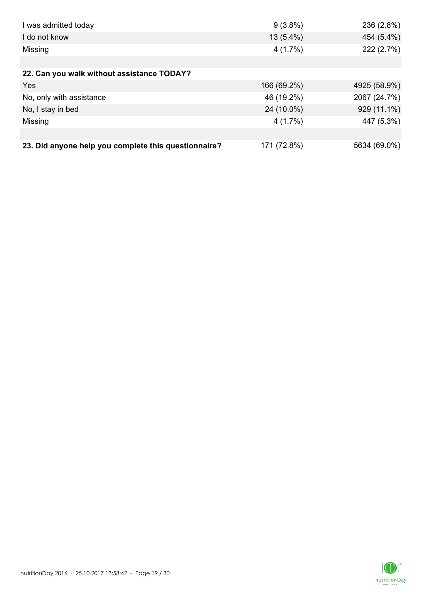| I was admitted today                                 | $9(3.8\%)$  | 236 (2.8%)   |
|------------------------------------------------------|-------------|--------------|
| I do not know                                        | $13(5.4\%)$ | 454 (5.4%)   |
| Missing                                              | 4(1.7%)     | 222 (2.7%)   |
|                                                      |             |              |
| 22. Can you walk without assistance TODAY?           |             |              |
| <b>Yes</b>                                           | 166 (69.2%) | 4925 (58.9%) |
| No, only with assistance                             | 46 (19.2%)  | 2067 (24.7%) |
| No, I stay in bed                                    | 24 (10.0%)  | 929 (11.1%)  |
| Missing                                              | 4(1.7%)     | 447 (5.3%)   |
|                                                      |             |              |
| 23. Did anyone help you complete this questionnaire? | 171 (72.8%) | 5634 (69.0%) |

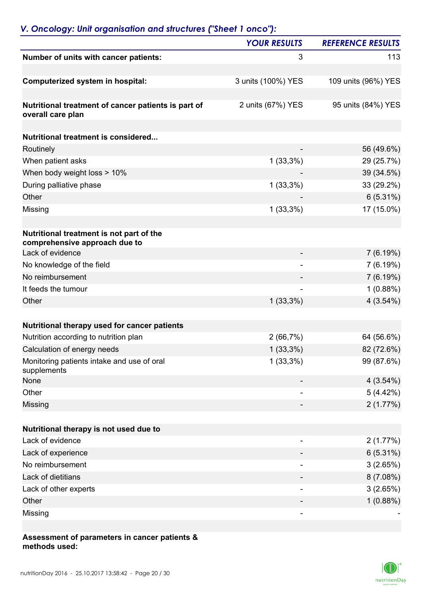|                                                                           | <b>YOUR RESULTS</b> | <b>REFERENCE RESULTS</b> |
|---------------------------------------------------------------------------|---------------------|--------------------------|
| Number of units with cancer patients:                                     | 3                   | 113                      |
| <b>Computerized system in hospital:</b>                                   | 3 units (100%) YES  | 109 units (96%) YES      |
|                                                                           |                     |                          |
| Nutritional treatment of cancer patients is part of<br>overall care plan  | 2 units (67%) YES   | 95 units (84%) YES       |
|                                                                           |                     |                          |
| Nutritional treatment is considered                                       |                     |                          |
| Routinely                                                                 |                     | 56 (49.6%)               |
| When patient asks                                                         | $1(33,3\%)$         | 29 (25.7%)               |
| When body weight loss > 10%                                               |                     | 39 (34.5%)               |
| During palliative phase                                                   | $1(33,3\%)$         | 33 (29.2%)               |
| Other                                                                     |                     | $6(5.31\%)$              |
| Missing                                                                   | $1(33,3\%)$         | 17 (15.0%)               |
|                                                                           |                     |                          |
| Nutritional treatment is not part of the<br>comprehensive approach due to |                     |                          |
| Lack of evidence                                                          |                     | 7(6.19%)                 |
| No knowledge of the field                                                 |                     | 7(6.19%)                 |
| No reimbursement                                                          |                     | 7(6.19%)                 |
| It feeds the tumour                                                       |                     | 1(0.88%)                 |
| Other                                                                     | $1(33,3\%)$         | 4(3.54%)                 |
|                                                                           |                     |                          |
| Nutritional therapy used for cancer patients                              |                     |                          |
| Nutrition according to nutrition plan                                     | 2(66,7%)            | 64 (56.6%)               |
| Calculation of energy needs                                               | $1(33,3\%)$         | 82 (72.6%)               |
| Monitoring patients intake and use of oral<br>supplements                 | $1(33,3\%)$         | 99 (87.6%)               |
| None                                                                      |                     | 4(3.54%)                 |
| Other                                                                     |                     | 5(4.42%)                 |
| Missing                                                                   |                     | 2(1.77%)                 |
|                                                                           |                     |                          |
| Nutritional therapy is not used due to                                    |                     |                          |
| Lack of evidence                                                          | ۰                   | 2(1.77%)                 |
| Lack of experience                                                        |                     | 6(5.31%)                 |
| No reimbursement                                                          |                     | 3(2.65%)                 |
| Lack of dietitians                                                        |                     | 8(7.08%)                 |
| Lack of other experts                                                     |                     | 3(2.65%)                 |
| Other                                                                     |                     | 1(0.88%)                 |
| Missing                                                                   |                     |                          |

#### **Assessment of parameters in cancer patients & methods used:**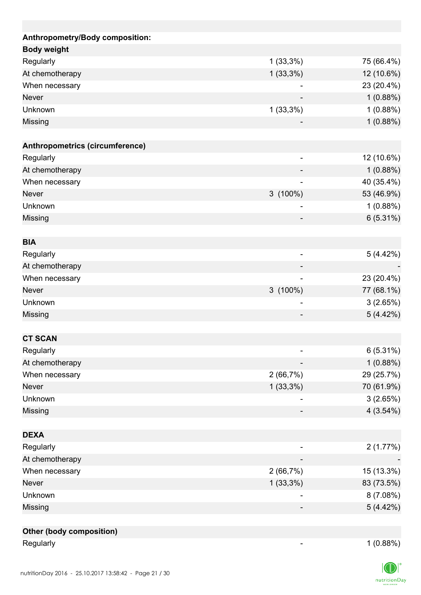| Anthropometry/Body composition: |                              |             |
|---------------------------------|------------------------------|-------------|
| <b>Body weight</b>              |                              |             |
| Regularly                       | $1(33,3\%)$                  | 75 (66.4%)  |
| At chemotherapy                 | $1(33,3\%)$                  | 12 (10.6%)  |
| When necessary                  |                              | 23 (20.4%)  |
| <b>Never</b>                    |                              | 1(0.88%)    |
| Unknown                         | $1(33,3\%)$                  | 1(0.88%)    |
| Missing                         |                              | 1(0.88%)    |
| Anthropometrics (circumference) |                              |             |
| Regularly                       | $\overline{a}$               | 12 (10.6%)  |
| At chemotherapy                 |                              | 1(0.88%)    |
| When necessary                  |                              | 40 (35.4%)  |
| <b>Never</b>                    | $3(100\%)$                   | 53 (46.9%)  |
| Unknown                         | -                            | 1(0.88%)    |
| Missing                         |                              | $6(5.31\%)$ |
| <b>BIA</b>                      |                              |             |
| Regularly                       |                              | 5(4.42%)    |
| At chemotherapy                 | $\overline{\phantom{0}}$     |             |
|                                 |                              |             |
| When necessary<br><b>Never</b>  |                              | 23 (20.4%)  |
|                                 | $3(100\%)$                   | 77 (68.1%)  |
| Unknown                         |                              | 3(2.65%)    |
| Missing                         |                              | 5(4.42%)    |
| <b>CT SCAN</b>                  |                              |             |
| Regularly                       | $\qquad \qquad \blacksquare$ | 6(5.31%)    |
| At chemotherapy                 |                              | 1(0.88%)    |
| When necessary                  | 2(66,7%)                     | 29 (25.7%)  |
| Never                           | $1(33,3\%)$                  | 70 (61.9%)  |
| Unknown                         |                              | 3(2.65%)    |
| Missing                         |                              | 4(3.54%)    |
| <b>DEXA</b>                     |                              |             |
| Regularly                       |                              | 2(1.77%)    |
| At chemotherapy                 |                              |             |
| When necessary                  | 2(66,7%)                     | 15 (13.3%)  |
| <b>Never</b>                    | $1(33,3\%)$                  | 83 (73.5%)  |
| Unknown                         |                              | 8 (7.08%)   |
| Missing                         |                              | 5(4.42%)    |
|                                 |                              |             |
| <b>Other (body composition)</b> |                              |             |
| Regularly                       |                              | 1(0.88%)    |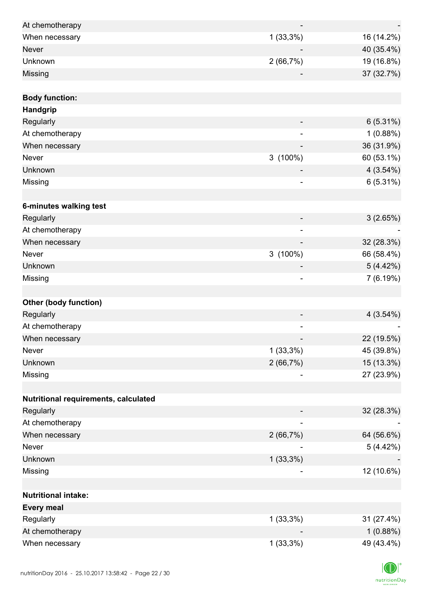| At chemotherapy                      |                          |            |
|--------------------------------------|--------------------------|------------|
| When necessary                       | $1(33,3\%)$              | 16 (14.2%) |
| <b>Never</b>                         |                          | 40 (35.4%) |
| Unknown                              | 2(66,7%)                 | 19 (16.8%) |
| Missing                              |                          | 37 (32.7%) |
|                                      |                          |            |
| <b>Body function:</b>                |                          |            |
| <b>Handgrip</b>                      |                          |            |
| Regularly                            |                          | 6(5.31%)   |
| At chemotherapy                      |                          | 1(0.88%)   |
| When necessary                       |                          | 36 (31.9%) |
| Never                                | $3(100\%)$               | 60 (53.1%) |
| Unknown                              |                          | 4(3.54%)   |
| Missing                              | ۰                        | 6(5.31%)   |
| 6-minutes walking test               |                          |            |
| Regularly                            |                          | 3(2.65%)   |
| At chemotherapy                      | $\overline{\phantom{a}}$ |            |
| When necessary                       |                          | 32 (28.3%) |
| Never                                | 3 (100%)                 | 66 (58.4%) |
| Unknown                              |                          | 5(4.42%)   |
| Missing                              |                          | 7(6.19%)   |
|                                      |                          |            |
| <b>Other (body function)</b>         |                          |            |
| Regularly                            |                          | 4(3.54%)   |
| At chemotherapy                      | -                        |            |
| When necessary                       |                          | 22 (19.5%) |
| Never                                | $1(33,3\%)$              | 45 (39.8%) |
| Unknown                              | 2(66,7%)                 | 15 (13.3%) |
| Missing                              | -                        | 27 (23.9%) |
|                                      |                          |            |
| Nutritional requirements, calculated |                          |            |
| Regularly                            |                          | 32 (28.3%) |
| At chemotherapy                      |                          |            |
| When necessary                       | 2(66,7%)                 | 64 (56.6%) |
| Never                                |                          | 5(4.42%)   |
| Unknown                              | $1(33,3\%)$              |            |
| Missing                              |                          | 12 (10.6%) |
|                                      |                          |            |
| <b>Nutritional intake:</b>           |                          |            |
| <b>Every meal</b>                    |                          |            |
| Regularly                            | $1(33,3\%)$              | 31 (27.4%) |
| At chemotherapy                      |                          | 1(0.88%)   |
| When necessary                       | $1(33,3\%)$              | 49 (43.4%) |

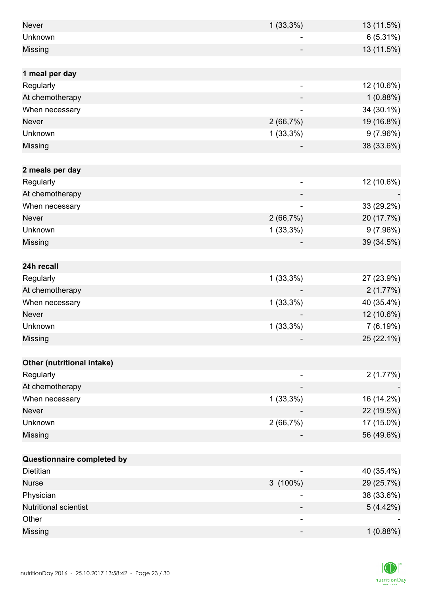| <b>Never</b>                 | $1(33,3\%)$              | 13 (11.5%) |
|------------------------------|--------------------------|------------|
| Unknown                      |                          | 6(5.31%)   |
| Missing                      |                          | 13 (11.5%) |
|                              |                          |            |
| 1 meal per day               |                          |            |
| Regularly                    |                          | 12 (10.6%) |
| At chemotherapy              |                          | 1(0.88%)   |
| When necessary               |                          | 34 (30.1%) |
| Never                        | 2(66,7%)                 | 19 (16.8%) |
| Unknown                      | $1(33,3\%)$              | 9(7.96%)   |
| Missing                      |                          | 38 (33.6%) |
|                              |                          |            |
| 2 meals per day              |                          |            |
| Regularly                    | ۰                        | 12 (10.6%) |
| At chemotherapy              |                          |            |
| When necessary               | $\overline{\phantom{0}}$ | 33 (29.2%) |
| <b>Never</b>                 | 2(66,7%)                 | 20 (17.7%) |
| Unknown                      | $1(33,3\%)$              | 9(7.96%)   |
| Missing                      |                          | 39 (34.5%) |
|                              |                          |            |
| 24h recall                   |                          |            |
| Regularly                    | $1(33,3\%)$              | 27 (23.9%) |
| At chemotherapy              |                          | 2(1.77%)   |
| When necessary               | 1(33,3%)                 | 40 (35.4%) |
| <b>Never</b>                 |                          | 12 (10.6%) |
| Unknown                      | $1(33,3\%)$              | 7(6.19%)   |
| Missing                      |                          | 25 (22.1%) |
|                              |                          |            |
| Other (nutritional intake)   |                          |            |
| Regularly                    |                          | 2(1.77%)   |
| At chemotherapy              |                          |            |
| When necessary               | $1(33,3\%)$              | 16 (14.2%) |
| Never                        |                          | 22 (19.5%) |
| Unknown                      | 2(66,7%)                 | 17 (15.0%) |
| Missing                      |                          | 56 (49.6%) |
|                              |                          |            |
| Questionnaire completed by   |                          |            |
| <b>Dietitian</b>             |                          | 40 (35.4%) |
| <b>Nurse</b>                 | $3(100\%)$               | 29 (25.7%) |
| Physician                    |                          | 38 (33.6%) |
| <b>Nutritional scientist</b> |                          | 5(4.42%)   |
| Other                        |                          |            |
| Missing                      | -                        | 1(0.88%)   |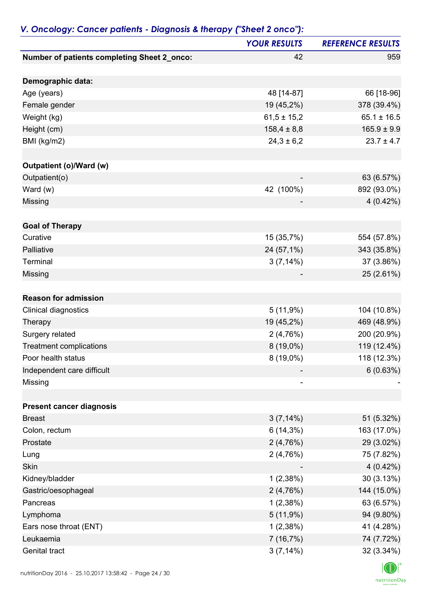|                                                    | <b>YOUR RESULTS</b> | <b>REFERENCE RESULTS</b> |
|----------------------------------------------------|---------------------|--------------------------|
| <b>Number of patients completing Sheet 2_onco:</b> | 42                  | 959                      |
| Demographic data:                                  |                     |                          |
| Age (years)                                        | 48 [14-87]          | 66 [18-96]               |
| Female gender                                      | 19 (45,2%)          | 378 (39.4%)              |
| Weight (kg)                                        | $61,5 \pm 15,2$     | $65.1 \pm 16.5$          |
| Height (cm)                                        | $158,4 \pm 8,8$     | $165.9 \pm 9.9$          |
| BMI (kg/m2)                                        | $24,3 \pm 6,2$      | $23.7 \pm 4.7$           |
| Outpatient (o)/Ward (w)                            |                     |                          |
| Outpatient(o)                                      |                     | 63 (6.57%)               |
| Ward (w)                                           | 42 (100%)           | 892 (93.0%)              |
| Missing                                            |                     | $4(0.42\%)$              |
| <b>Goal of Therapy</b>                             |                     |                          |
| Curative                                           | 15 (35,7%)          | 554 (57.8%)              |
| Palliative                                         | 24 (57,1%)          | 343 (35.8%)              |
| Terminal                                           | $3(7,14\%)$         | 37 (3.86%)               |
| Missing                                            |                     | 25 (2.61%)               |
| <b>Reason for admission</b>                        |                     |                          |
| Clinical diagnostics                               | 5(11,9%)            | 104 (10.8%)              |
| Therapy                                            | 19 (45,2%)          | 469 (48.9%)              |
| Surgery related                                    | 2(4,76%)            | 200 (20.9%)              |
| <b>Treatment complications</b>                     | $8(19,0\%)$         | 119 (12.4%)              |
| Poor health status                                 | $8(19,0\%)$         | 118 (12.3%)              |
| Independent care difficult                         |                     | 6(0.63%)                 |
| Missing                                            |                     |                          |
| <b>Present cancer diagnosis</b>                    |                     |                          |
| <b>Breast</b>                                      | $3(7,14\%)$         | 51 (5.32%)               |
| Colon, rectum                                      | $6(14,3\%)$         | 163 (17.0%)              |
| Prostate                                           | 2(4,76%)            | 29 (3.02%)               |
| Lung                                               | 2(4,76%)            | 75 (7.82%)               |
| Skin                                               |                     | 4(0.42%)                 |
| Kidney/bladder                                     | 1(2,38%)            | 30(3.13%)                |
| Gastric/oesophageal                                | 2(4,76%)            | 144 (15.0%)              |
| Pancreas                                           | 1(2,38%)            | 63 (6.57%)               |
| Lymphoma                                           | 5(11,9%)            | 94 (9.80%)               |
| Ears nose throat (ENT)                             | 1(2,38%)            | 41 (4.28%)               |
| Leukaemia                                          | 7(16,7%)            | 74 (7.72%)               |
| Genital tract                                      | 3(7,14%)            | 32 (3.34%)               |

### *V. Oncology: Cancer patients - Diagnosis & therapy ("Sheet 2 onco"):*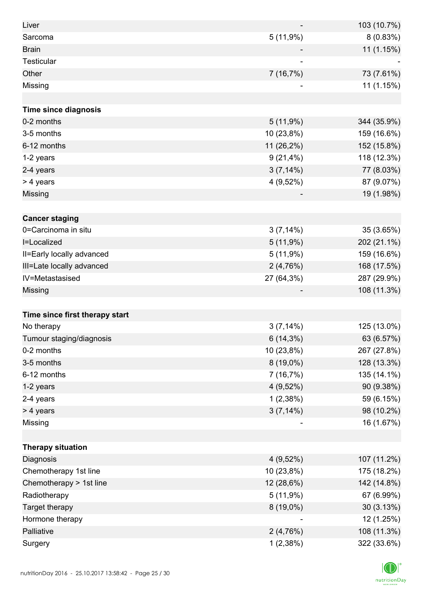| Liver                          |             | 103 (10.7%) |
|--------------------------------|-------------|-------------|
| Sarcoma                        | 5(11,9%)    | 8 (0.83%)   |
| <b>Brain</b>                   |             | 11 (1.15%)  |
| Testicular                     |             |             |
| Other                          | 7 (16,7%)   | 73 (7.61%)  |
| Missing                        |             | 11 (1.15%)  |
|                                |             |             |
| <b>Time since diagnosis</b>    |             |             |
| 0-2 months                     | 5(11,9%)    | 344 (35.9%) |
| 3-5 months                     | 10 (23,8%)  | 159 (16.6%) |
| 6-12 months                    | 11 (26,2%)  | 152 (15.8%) |
| 1-2 years                      | $9(21,4\%)$ | 118 (12.3%) |
| 2-4 years                      | $3(7,14\%)$ | 77 (8.03%)  |
| > 4 years                      | $4(9,52\%)$ | 87 (9.07%)  |
| Missing                        |             | 19 (1.98%)  |
|                                |             |             |
| <b>Cancer staging</b>          |             |             |
| 0=Carcinoma in situ            | $3(7,14\%)$ | 35 (3.65%)  |
| I=Localized                    | 5(11,9%)    | 202 (21.1%) |
| II=Early locally advanced      | 5(11,9%)    | 159 (16.6%) |
| III=Late locally advanced      | 2(4,76%)    | 168 (17.5%) |
| IV=Metastasised                | 27 (64,3%)  | 287 (29.9%) |
| Missing                        |             | 108 (11.3%) |
|                                |             |             |
| Time since first therapy start |             |             |
| No therapy                     | $3(7,14\%)$ | 125 (13.0%) |
| Tumour staging/diagnosis       | $6(14,3\%)$ | 63 (6.57%)  |
| 0-2 months                     | 10 (23,8%)  | 267 (27.8%) |
| 3-5 months                     | 8 (19,0%)   | 128 (13.3%) |
| 6-12 months                    | 7(16,7%)    | 135 (14.1%) |
| 1-2 years                      | $4(9,52\%)$ | 90 (9.38%)  |
| 2-4 years                      | 1(2,38%)    | 59 (6.15%)  |
| > 4 years                      | $3(7,14\%)$ | 98 (10.2%)  |
| Missing                        | -           | 16 (1.67%)  |
|                                |             |             |
| <b>Therapy situation</b>       |             |             |
| Diagnosis                      | $4(9,52\%)$ | 107 (11.2%) |
| Chemotherapy 1st line          | 10 (23,8%)  | 175 (18.2%) |
| Chemotherapy > 1st line        | 12 (28,6%)  | 142 (14.8%) |
| Radiotherapy                   | 5(11,9%)    | 67 (6.99%)  |
| Target therapy                 | $8(19,0\%)$ | 30 (3.13%)  |
| Hormone therapy                |             | 12 (1.25%)  |
| Palliative                     | 2(4,76%)    | 108 (11.3%) |
| Surgery                        | 1(2,38%)    | 322 (33.6%) |

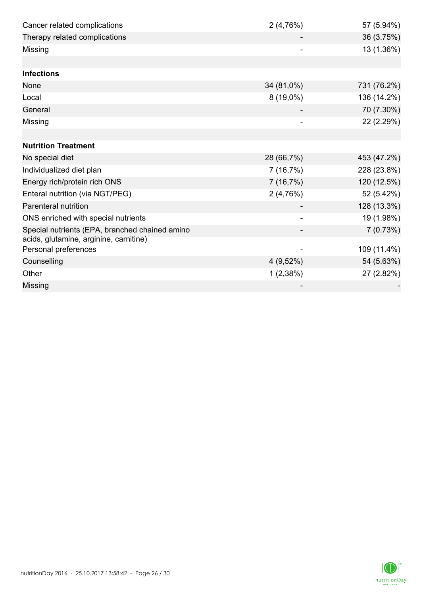| Cancer related complications                   | 2(4,76%)    | 57 (5.94%)  |
|------------------------------------------------|-------------|-------------|
| Therapy related complications                  |             | 36 (3.75%)  |
| Missing                                        |             | 13 (1.36%)  |
|                                                |             |             |
| <b>Infections</b>                              |             |             |
| None                                           | 34 (81,0%)  | 731 (76.2%) |
| Local                                          | 8 (19,0%)   | 136 (14.2%) |
| General                                        |             | 70 (7.30%)  |
| Missing                                        |             | 22 (2.29%)  |
|                                                |             |             |
| <b>Nutrition Treatment</b>                     |             |             |
| No special diet                                | 28 (66,7%)  | 453 (47.2%) |
| Individualized diet plan                       | 7(16,7%)    | 228 (23.8%) |
| Energy rich/protein rich ONS                   | 7(16,7%)    | 120 (12.5%) |
| Enteral nutrition (via NGT/PEG)                | 2(4,76%)    | 52 (5.42%)  |
| Parenteral nutrition                           |             | 128 (13.3%) |
| ONS enriched with special nutrients            |             | 19 (1.98%)  |
| Special nutrients (EPA, branched chained amino |             | 7(0.73%)    |
| acids, glutamine, arginine, carnitine)         |             |             |
| Personal preferences                           |             | 109 (11.4%) |
| Counselling                                    | $4(9,52\%)$ | 54 (5.63%)  |
| Other                                          | 1(2,38%)    | 27 (2.82%)  |
| Missing                                        |             |             |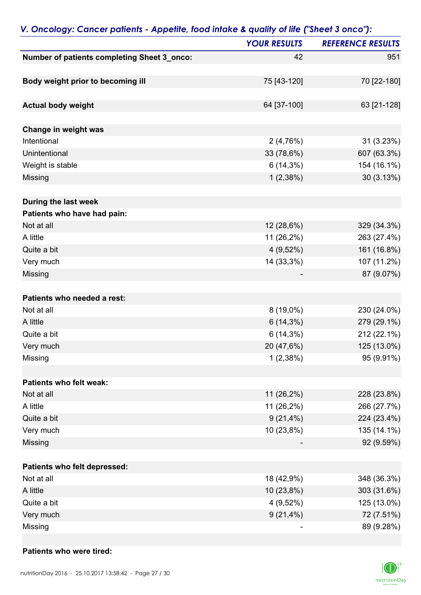| <b>YOUR RESULTS</b><br>Number of patients completing Sheet 3_onco:<br>42<br>951<br>Body weight prior to becoming ill<br>75 [43-120]<br><b>Actual body weight</b><br>64 [37-100]<br>Change in weight was<br>Intentional<br>2(4,76%)<br>Unintentional<br>33 (78,6%)<br>Weight is stable<br>$6(14,3\%)$<br>Missing<br>1(2,38%)<br>During the last week<br>Patients who have had pain:<br>12 (28,6%)<br>Not at all<br>A little<br>11 (26,2%)<br>Quite a bit<br>$4(9,52\%)$<br>Very much<br>14 (33,3%)<br>Missing<br>Patients who needed a rest:<br>$8(19,0\%)$<br>Not at all |
|--------------------------------------------------------------------------------------------------------------------------------------------------------------------------------------------------------------------------------------------------------------------------------------------------------------------------------------------------------------------------------------------------------------------------------------------------------------------------------------------------------------------------------------------------------------------------|
|                                                                                                                                                                                                                                                                                                                                                                                                                                                                                                                                                                          |
| 70 [22-180]<br>63 [21-128]<br>31 (3.23%)<br>607 (63.3%)<br>154 (16.1%)<br>30 (3.13%)<br>329 (34.3%)<br>263 (27.4%)<br>161 (16.8%)<br>107 (11.2%)<br>87 (9.07%)<br>230 (24.0%)                                                                                                                                                                                                                                                                                                                                                                                            |
|                                                                                                                                                                                                                                                                                                                                                                                                                                                                                                                                                                          |
|                                                                                                                                                                                                                                                                                                                                                                                                                                                                                                                                                                          |
|                                                                                                                                                                                                                                                                                                                                                                                                                                                                                                                                                                          |
|                                                                                                                                                                                                                                                                                                                                                                                                                                                                                                                                                                          |
|                                                                                                                                                                                                                                                                                                                                                                                                                                                                                                                                                                          |
|                                                                                                                                                                                                                                                                                                                                                                                                                                                                                                                                                                          |
|                                                                                                                                                                                                                                                                                                                                                                                                                                                                                                                                                                          |
|                                                                                                                                                                                                                                                                                                                                                                                                                                                                                                                                                                          |
|                                                                                                                                                                                                                                                                                                                                                                                                                                                                                                                                                                          |
|                                                                                                                                                                                                                                                                                                                                                                                                                                                                                                                                                                          |
|                                                                                                                                                                                                                                                                                                                                                                                                                                                                                                                                                                          |
|                                                                                                                                                                                                                                                                                                                                                                                                                                                                                                                                                                          |
|                                                                                                                                                                                                                                                                                                                                                                                                                                                                                                                                                                          |
|                                                                                                                                                                                                                                                                                                                                                                                                                                                                                                                                                                          |
|                                                                                                                                                                                                                                                                                                                                                                                                                                                                                                                                                                          |
|                                                                                                                                                                                                                                                                                                                                                                                                                                                                                                                                                                          |
|                                                                                                                                                                                                                                                                                                                                                                                                                                                                                                                                                                          |
|                                                                                                                                                                                                                                                                                                                                                                                                                                                                                                                                                                          |
| A little<br>$6(14,3\%)$<br>279 (29.1%)                                                                                                                                                                                                                                                                                                                                                                                                                                                                                                                                   |
| Quite a bit<br>$6(14,3\%)$<br>212 (22.1%)                                                                                                                                                                                                                                                                                                                                                                                                                                                                                                                                |
| 125 (13.0%)<br>Very much<br>20 (47,6%)                                                                                                                                                                                                                                                                                                                                                                                                                                                                                                                                   |
| 95 (9.91%)<br>1(2,38%)<br>Missing                                                                                                                                                                                                                                                                                                                                                                                                                                                                                                                                        |
|                                                                                                                                                                                                                                                                                                                                                                                                                                                                                                                                                                          |
| Patients who felt weak:                                                                                                                                                                                                                                                                                                                                                                                                                                                                                                                                                  |
| Not at all<br>11 (26,2%)<br>228 (23.8%)                                                                                                                                                                                                                                                                                                                                                                                                                                                                                                                                  |
| A little<br>11 (26,2%)<br>266 (27.7%)                                                                                                                                                                                                                                                                                                                                                                                                                                                                                                                                    |
| Quite a bit<br>$9(21,4\%)$<br>224 (23.4%)                                                                                                                                                                                                                                                                                                                                                                                                                                                                                                                                |
| 10 (23,8%)<br>Very much<br>135 (14.1%)                                                                                                                                                                                                                                                                                                                                                                                                                                                                                                                                   |
| 92 (9.59%)<br>Missing                                                                                                                                                                                                                                                                                                                                                                                                                                                                                                                                                    |
| Patients who felt depressed:                                                                                                                                                                                                                                                                                                                                                                                                                                                                                                                                             |
| Not at all<br>18 (42,9%)<br>348 (36.3%)                                                                                                                                                                                                                                                                                                                                                                                                                                                                                                                                  |
| 10 (23,8%)<br>303 (31.6%)<br>A little                                                                                                                                                                                                                                                                                                                                                                                                                                                                                                                                    |
| Quite a bit<br>$4(9,52\%)$<br>125 (13.0%)                                                                                                                                                                                                                                                                                                                                                                                                                                                                                                                                |
| $9(21,4\%)$<br>Very much<br>72 (7.51%)                                                                                                                                                                                                                                                                                                                                                                                                                                                                                                                                   |
| Missing<br>89 (9.28%)                                                                                                                                                                                                                                                                                                                                                                                                                                                                                                                                                    |

# *V. Oncology: Cancer patients - Appetite, food intake & quality of life ("Sheet 3 onco"):*

### **Patients who were tired:**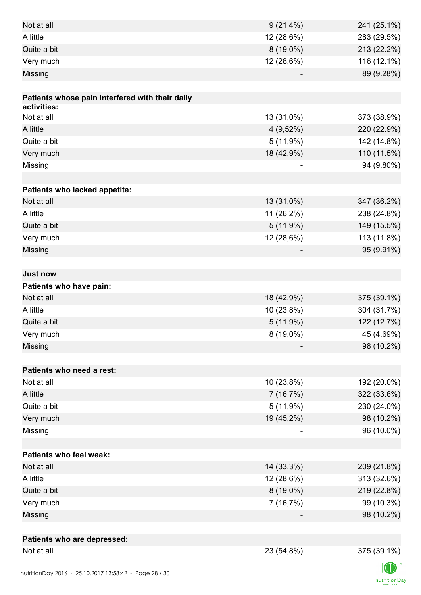| Not at all                                      | $9(21,4\%)$ | 241 (25.1%) |
|-------------------------------------------------|-------------|-------------|
| A little                                        | 12 (28,6%)  | 283 (29.5%) |
| Quite a bit                                     | $8(19,0\%)$ | 213 (22.2%) |
| Very much                                       | 12 (28,6%)  | 116 (12.1%) |
| Missing                                         |             | 89 (9.28%)  |
|                                                 |             |             |
| Patients whose pain interfered with their daily |             |             |
| activities:                                     |             |             |
| Not at all                                      | 13 (31,0%)  | 373 (38.9%) |
| A little                                        | $4(9,52\%)$ | 220 (22.9%) |
| Quite a bit                                     | 5(11,9%)    | 142 (14.8%) |
| Very much                                       | 18 (42,9%)  | 110 (11.5%) |
| Missing                                         |             | 94 (9.80%)  |
|                                                 |             |             |
| Patients who lacked appetite:                   |             |             |
| Not at all                                      | 13 (31,0%)  | 347 (36.2%) |
| A little                                        | 11 (26,2%)  | 238 (24.8%) |
| Quite a bit                                     | 5(11,9%)    | 149 (15.5%) |
| Very much                                       | 12 (28,6%)  | 113 (11.8%) |
| Missing                                         |             | 95 (9.91%)  |
|                                                 |             |             |
| <b>Just now</b>                                 |             |             |
| Patients who have pain:                         |             |             |
| Not at all                                      | 18 (42,9%)  | 375 (39.1%) |
| A little                                        | 10 (23,8%)  | 304 (31.7%) |
| Quite a bit                                     | 5(11,9%)    | 122 (12.7%) |
| Very much                                       | $8(19,0\%)$ | 45 (4.69%)  |
| Missing                                         |             | 98 (10.2%)  |
|                                                 |             |             |
| Patients who need a rest:                       |             |             |
| Not at all                                      | 10 (23,8%)  | 192 (20.0%) |
| A little                                        | 7 (16,7%)   | 322 (33.6%) |
| Quite a bit                                     | 5(11,9%)    | 230 (24.0%) |
| Very much                                       | 19 (45,2%)  | 98 (10.2%)  |
| Missing                                         |             | 96 (10.0%)  |
|                                                 |             |             |
| <b>Patients who feel weak:</b>                  |             |             |
| Not at all                                      | 14 (33,3%)  | 209 (21.8%) |
| A little                                        | 12 (28,6%)  | 313 (32.6%) |
| Quite a bit                                     | 8 (19,0%)   | 219 (22.8%) |
| Very much                                       | 7(16,7%)    | 99 (10.3%)  |
| Missing                                         |             | 98 (10.2%)  |
|                                                 |             |             |
| Patients who are depressed:                     |             |             |
| Not at all                                      | 23 (54,8%)  | 375 (39.1%) |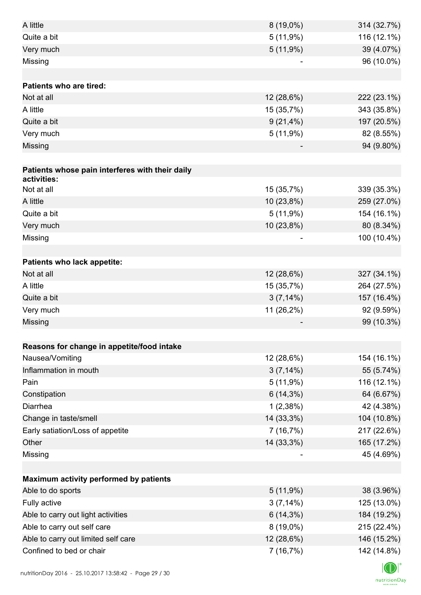| A little                                        | $8(19,0\%)$ | 314 (32.7%) |
|-------------------------------------------------|-------------|-------------|
| Quite a bit                                     | 5(11,9%)    | 116 (12.1%) |
| Very much                                       | 5(11,9%)    | 39 (4.07%)  |
| Missing                                         |             | 96 (10.0%)  |
|                                                 |             |             |
| <b>Patients who are tired:</b>                  |             |             |
| Not at all                                      | 12 (28,6%)  | 222 (23.1%) |
| A little                                        | 15 (35,7%)  | 343 (35.8%) |
| Quite a bit                                     | $9(21,4\%)$ | 197 (20.5%) |
| Very much                                       | 5(11,9%)    | 82 (8.55%)  |
| Missing                                         |             | 94 (9.80%)  |
|                                                 |             |             |
| Patients whose pain interferes with their daily |             |             |
| activities:                                     |             |             |
| Not at all                                      | 15 (35,7%)  | 339 (35.3%) |
| A little                                        | 10 (23,8%)  | 259 (27.0%) |
| Quite a bit                                     | 5(11,9%)    | 154 (16.1%) |
| Very much                                       | 10 (23,8%)  | 80 (8.34%)  |
| Missing                                         |             | 100 (10.4%) |
|                                                 |             |             |
| Patients who lack appetite:                     |             |             |
| Not at all                                      | 12 (28,6%)  | 327 (34.1%) |
| A little                                        | 15 (35,7%)  | 264 (27.5%) |
| Quite a bit                                     | $3(7,14\%)$ | 157 (16.4%) |
| Very much                                       | 11 (26,2%)  | 92 (9.59%)  |
| Missing                                         |             | 99 (10.3%)  |
| Reasons for change in appetite/food intake      |             |             |
| Nausea/Vomiting                                 | 12 (28,6%)  | 154 (16.1%) |
| Inflammation in mouth                           | $3(7,14\%)$ | 55 (5.74%)  |
| Pain                                            | 5(11,9%)    | 116 (12.1%) |
| Constipation                                    | $6(14,3\%)$ | 64 (6.67%)  |
| Diarrhea                                        | 1(2,38%)    | 42 (4.38%)  |
| Change in taste/smell                           | 14 (33,3%)  | 104 (10.8%) |
| Early satiation/Loss of appetite                | 7(16,7%)    | 217 (22.6%) |
| Other                                           | 14 (33,3%)  | 165 (17.2%) |
| Missing                                         |             | 45 (4.69%)  |
|                                                 |             |             |
| Maximum activity performed by patients          |             |             |
| Able to do sports                               | 5(11,9%)    | 38 (3.96%)  |
| Fully active                                    | $3(7,14\%)$ | 125 (13.0%) |
| Able to carry out light activities              | $6(14,3\%)$ | 184 (19.2%) |
| Able to carry out self care                     | $8(19,0\%)$ | 215 (22.4%) |
| Able to carry out limited self care             | 12 (28,6%)  | 146 (15.2%) |
| Confined to bed or chair                        | 7(16,7%)    | 142 (14.8%) |
|                                                 |             |             |